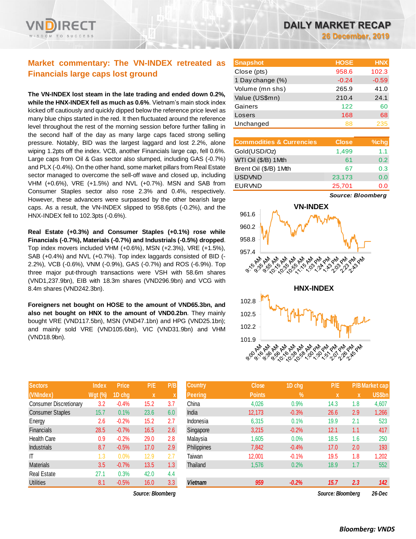

## **Market commentary: The VN-INDEX retreated as Financials large caps lost ground**

**The VN-INDEX lost steam in the late trading and ended down 0.2%, while the HNX-INDEX fell as much as 0.6%**. Vietnam's main stock index kicked off cautiously and quickly dipped below the reference price level as many blue chips started in the red. It then fluctuated around the reference level throughout the rest of the morning session before further falling in the second half of the day as many large caps faced strong selling pressure. Notably, BID was the largest laggard and lost 2.2%, alone wiping 1.2pts off the index. VCB, another Financials large cap, fell 0.6%. Large caps from Oil & Gas sector also slumped, including GAS (-0.7%) and PLX (-0.4%). On the other hand, some market pillars from Real Estate sector managed to overcome the sell-off wave and closed up, including VHM (+0.6%), VRE (+1.5%) and NVL (+0.7%). MSN and SAB from Consumer Staples sector also rose 2.3% and 0.4%, respectively. However, these advancers were surpassed by the other bearish large caps. As a result, the VN-INDEX slipped to 958.6pts (-0.2%), and the HNX-INDEX fell to 102.3pts (-0.6%).

**Real Estate (+0.3%) and Consumer Staples (+0.1%) rose while Financials (-0.7%), Materials (-0.7%) and Industrials (-0.5%) dropped**. Top index movers included VHM (+0.6%), MSN (+2.3%), VRE (+1.5%), SAB (+0.4%) and NVL (+0.7%). Top index laggards consisted of BID (- 2.2%), VCB (-0.6%), VNM (-0.9%), GAS (-0.7%) and ROS (-6.9%). Top three major put-through transactions were VSH with 58.6m shares (VND1,237.9bn), EIB with 18.3m shares (VND296.9bn) and VCG with 8.4m shares (VND242.3bn).

**Foreigners net bought on HOSE to the amount of VND65.3bn, and also net bought on HNX to the amount of VND0.2bn**. They mainly bought VRE (VND117.5bn), MSN (VND47.1bn) and HPG (VND25.1bn); and mainly sold VRE (VND105.6bn), VIC (VND31.9bn) and VHM (VND18.9bn).

| <b>Sectors</b>                | <b>Index</b>   | <b>Price</b> | P/E  | P/B |
|-------------------------------|----------------|--------------|------|-----|
| (VNIndex)                     | <b>Wgt (%)</b> | 1D chg       | x    | X   |
| <b>Consumer Discretionary</b> | 3.2            | $-0.4%$      | 15.2 | 3.7 |
| <b>Consumer Staples</b>       | 15.7           | 0.1%         | 23.6 | 6.0 |
| Energy                        | 2.6            | $-0.2%$      | 15.2 | 2.7 |
| <b>Financials</b>             | 28.5           | $-0.7%$      | 16.5 | 2.6 |
| <b>Health Care</b>            | 0.9            | $-0.2%$      | 29.0 | 2.8 |
| <b>Industrials</b>            | 8.7            | $-0.5%$      | 17.0 | 2.9 |
| ΙT                            | 1.3            | 0.0%         | 12.9 | 2.7 |
| <b>Materials</b>              | 3.5            | $-0.7%$      | 13.5 | 1.3 |
| <b>Real Estate</b>            | 27.1           | 0.3%         | 42.0 | 4.4 |
| <b>Utilities</b>              | 8.1            | $-0.5%$      | 16.0 | 3.3 |

 $Source: Bloomberg$ 

| <b>Snapshot</b>  | <b>HOSE</b> | <b>HNX</b> |
|------------------|-------------|------------|
| Close (pts)      | 958.6       | 102.3      |
| 1 Day change (%) | $-0.24$     | $-0.59$    |
| Volume (mn shs)  | 265.9       | 41.0       |
| Value (US\$mn)   | 210.4       | 24.1       |
| Gainers          | 122         | 60         |
| Losers           | 168         | 68         |
| Unchanged        | 88          | 235        |

| <b>Commodities &amp; Currencies</b> | <b>Close</b> | $%$ chq          |
|-------------------------------------|--------------|------------------|
| Gold(USD/Oz)                        | 1,499        | 1.1              |
| WTI Oil (\$/B) 1 Mth                | 61           | 0.2 <sub>0</sub> |
| Brent Oil (\$/B) 1Mth               | 67           | 0.3              |
| <b>USDVND</b>                       | 23,173       | 0.0              |
| <b>EURVND</b>                       | 25,701       | ი ი              |

*Source: Bloomberg*



| <b>Sectors</b>          | <b>Index</b>   | <b>Price</b> | P/E               | P/B              | <b>Country</b> | <b>Close</b>  | 1D chg        | P/E               |                         | <b>P/B</b> Market cap |
|-------------------------|----------------|--------------|-------------------|------------------|----------------|---------------|---------------|-------------------|-------------------------|-----------------------|
| (VNIndex)               | <b>Wgt (%)</b> | 1D chg       | $\mathbf x$       |                  | <b>Peering</b> | <b>Points</b> | $\frac{9}{6}$ | X                 | $\overline{\mathbf{X}}$ | US\$bn                |
| Consumer Discretionary  | 3.2            | $-0.4%$      | 15.2              | 3.7              | China          | 4,026         | 0.9%          | 14.3              | 1.8                     | 4,607                 |
| <b>Consumer Staples</b> | 15.7           | 0.1%         | 23.6              | 6.0              | India          | 12,173        | $-0.3%$       | 26.6              | 2.9                     | 1,266                 |
| Energy                  | 2.6            | $-0.2%$      | 15.2              | 2.7              | Indonesia      | 6,315         | 0.1%          | 19.9              | 2.1                     | 523                   |
| Financials              | 28.5           | $-0.7%$      | 16.5              | 2.6              | Singapore      | 3,215         | $-0.2%$       | 12.1              | 1.1                     | 417                   |
| Health Care             | 0.9            | $-0.2%$      | 29.0              | 2.8              | Malaysia       | 1,605         | 0.0%          | 18.5              | 1.6                     | 250                   |
| Industrials             | 8.7            | $-0.5%$      | 17.0              | 2.9              | Philippines    | 7,842         | $-0.4%$       | 17.0              | 2.0                     | 193                   |
| Τ                       | 1.3            | 0.0%         | 12.9              | 2.7              | Taiwan         | 12,001        | $-0.1%$       | 19.5              | 1.8                     | 1,202                 |
| <b>Materials</b>        | 3.5            | $-0.7%$      | 13.5              | 1.3 <sub>2</sub> | Thailand       | 1,576         | 0.2%          | 18.9              | 1.7                     | 552                   |
| Real Estate             | 27.1           | 0.3%         | 42.0              | 4.4              |                |               |               |                   |                         |                       |
| Utilities               | 8.1            | $-0.5%$      | 16.0              | 3.3              | <b>Vietnam</b> | 959           | $-0.2%$       | 15.7              | 2.3                     | 142                   |
|                         |                |              | Source: Bloomberg |                  |                |               |               | Source: Bloomberg |                         | 26-Dec                |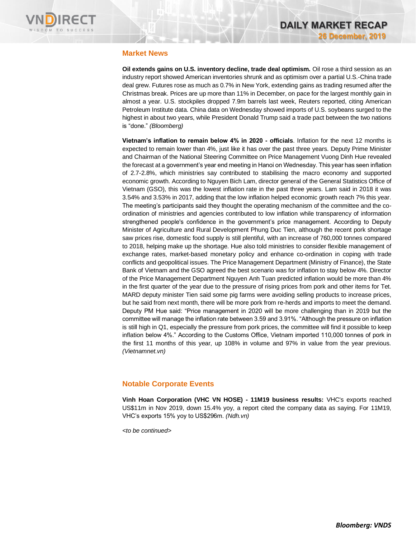

## **Market News**

**Oil extends gains on U.S. inventory decline, trade deal optimism.** Oil rose a third session as an industry report showed American inventories shrunk and as optimism over a partial U.S.-China trade deal grew. Futures rose as much as 0.7% in New York, extending gains as trading resumed after the Christmas break. Prices are up more than 11% in December, on pace for the largest monthly gain in almost a year. U.S. stockpiles dropped 7.9m barrels last week, Reuters reported, citing American Petroleum Institute data. China data on Wednesday showed imports of U.S. soybeans surged to the highest in about two years, while President Donald Trump said a trade pact between the two nations is "done." *(Bloomberg)*

**Vietnam's inflation to remain below 4% in 2020 - officials**. Inflation for the next 12 months is expected to remain lower than 4%, just like it has over the past three years. Deputy Prime Minister and Chairman of the National Steering Committee on Price Management Vuong Dinh Hue revealed the forecast at a government's year end meeting in Hanoi on Wednesday. This year has seen inflation of 2.7-2.8%, which ministries say contributed to stabilising the macro economy and supported economic growth. According to Nguyen Bich Lam, director general of the General Statistics Office of Vietnam (GSO), this was the lowest inflation rate in the past three years. Lam said in 2018 it was 3.54% and 3.53% in 2017, adding that the low inflation helped economic growth reach 7% this year. The meeting's participants said they thought the operating mechanism of the committee and the coordination of ministries and agencies contributed to low inflation while transparency of information strengthened people's confidence in the government's price management. According to Deputy Minister of Agriculture and Rural Development Phung Duc Tien, although the recent pork shortage saw prices rise, domestic food supply is still plentiful, with an increase of 760,000 tonnes compared to 2018, helping make up the shortage. Hue also told ministries to consider flexible management of exchange rates, market-based monetary policy and enhance co-ordination in coping with trade conflicts and geopolitical issues. The Price Management Department (Ministry of Finance), the State Bank of Vietnam and the GSO agreed the best scenario was for inflation to stay below 4%. Director of the Price Management Department Nguyen Anh Tuan predicted inflation would be more than 4% in the first quarter of the year due to the pressure of rising prices from pork and other items for Tet. MARD deputy minister Tien said some pig farms were avoiding selling products to increase prices, but he said from next month, there will be more pork from re-herds and imports to meet the demand. Deputy PM Hue said: "Price management in 2020 will be more challenging than in 2019 but the committee will manage the inflation rate between 3.59 and 3.91%. "Although the pressure on inflation is still high in Q1, especially the pressure from pork prices, the committee will find it possible to keep inflation below 4%." According to the Customs Office, Vietnam imported 110,000 tonnes of pork in the first 11 months of this year, up 108% in volume and 97% in value from the year previous. *(Vietnamnet.vn)*

## **Notable Corporate Events**

**Vinh Hoan Corporation (VHC VN HOSE) - 11M19 business results:** VHC's exports reached US\$11m in Nov 2019, down 15.4% yoy, a report cited the company data as saying. For 11M19, VHC's exports 15% yoy to US\$296m. *(Ndh.vn)*

*<to be continued>*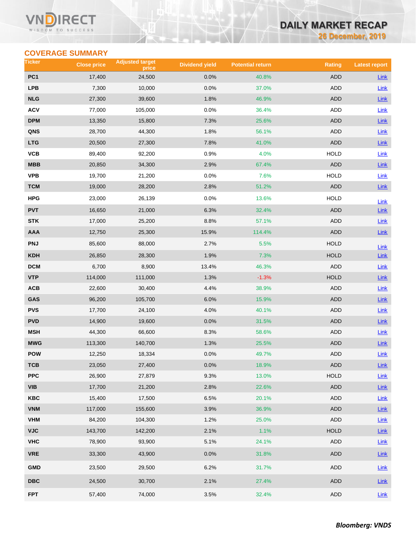#### Vľ RECT WISDOM TO SUCCESS

# **DAILY MARKET RECAP**

**26 December, 2019**

## **COVERAGE SUMMARY**

| Ticker                  | <b>Close price</b> | <b>Adjusted target</b><br>price | <b>Dividend yield</b> | <b>Potential return</b> | <b>Rating</b> | <b>Latest report</b> |
|-------------------------|--------------------|---------------------------------|-----------------------|-------------------------|---------------|----------------------|
| PC <sub>1</sub>         | 17,400             | 24,500                          | 0.0%                  | 40.8%                   | <b>ADD</b>    | <b>Link</b>          |
| <b>LPB</b>              | 7,300              | 10,000                          | 0.0%                  | 37.0%                   | <b>ADD</b>    | Link                 |
| <b>NLG</b>              | 27,300             | 39,600                          | 1.8%                  | 46.9%                   | <b>ADD</b>    | Link                 |
| <b>ACV</b>              | 77,000             | 105,000                         | 0.0%                  | 36.4%                   | ADD           | Link                 |
| <b>DPM</b>              | 13,350             | 15,800                          | 7.3%                  | 25.6%                   | ADD           | Link                 |
| QNS                     | 28,700             | 44,300                          | 1.8%                  | 56.1%                   | ADD           | <b>Link</b>          |
| <b>LTG</b>              | 20,500             | 27,300                          | 7.8%                  | 41.0%                   | <b>ADD</b>    | Link                 |
| VCB                     | 89,400             | 92,200                          | 0.9%                  | 4.0%                    | <b>HOLD</b>   | Link                 |
| MBB                     | 20,850             | 34,300                          | 2.9%                  | 67.4%                   | <b>ADD</b>    | Link                 |
| <b>VPB</b>              | 19,700             | 21,200                          | 0.0%                  | 7.6%                    | <b>HOLD</b>   | Link                 |
| <b>TCM</b>              | 19,000             | 28,200                          | 2.8%                  | 51.2%                   | <b>ADD</b>    | $Link$               |
| HPG                     | 23,000             | 26,139                          | 0.0%                  | 13.6%                   | <b>HOLD</b>   | Link                 |
| <b>PVT</b>              | 16,650             | 21,000                          | 6.3%                  | 32.4%                   | <b>ADD</b>    | Link                 |
| <b>STK</b>              | 17,000             | 25,200                          | 8.8%                  | 57.1%                   | ADD           | Link                 |
| <b>AAA</b>              | 12,750             | 25,300                          | 15.9%                 | 114.4%                  | <b>ADD</b>    | $Link$               |
| <b>PNJ</b>              | 85,600             | 88,000                          | 2.7%                  | 5.5%                    | <b>HOLD</b>   | Link                 |
| <b>KDH</b>              | 26,850             | 28,300                          | 1.9%                  | 7.3%                    | <b>HOLD</b>   | <b>Link</b>          |
| <b>DCM</b>              | 6,700              | 8,900                           | 13.4%                 | 46.3%                   | <b>ADD</b>    | Link                 |
| <b>VTP</b>              | 114,000            | 111,000                         | 1.3%                  | $-1.3%$                 | <b>HOLD</b>   | Link                 |
| ACB                     | 22,600             | 30,400                          | 4.4%                  | 38.9%                   | ADD           | Link                 |
| GAS                     | 96,200             | 105,700                         | 6.0%                  | 15.9%                   | <b>ADD</b>    | Link                 |
| <b>PVS</b>              | 17,700             | 24,100                          | 4.0%                  | 40.1%                   | <b>ADD</b>    | Link                 |
| <b>PVD</b>              | 14,900             | 19,600                          | 0.0%                  | 31.5%                   | <b>ADD</b>    | Link                 |
| <b>MSH</b>              | 44,300             | 66,600                          | 8.3%                  | 58.6%                   | ADD           | <b>Link</b>          |
| <b>MWG</b>              | 113,300            | 140,700                         | 1.3%                  | 25.5%                   | <b>ADD</b>    | $Link$               |
| <b>POW</b>              | 12,250             | 18,334                          | 0.0%                  | 49.7%                   | ADD           | Link                 |
| тсв                     | 23,050             | 27,400                          | $0.0\%$               | 18.9%                   | ADD           | $Link$               |
| <b>PPC</b>              | 26,900             | 27,879                          | 9.3%                  | 13.0%                   | HOLD          | Link                 |
| <b>VIB</b>              | 17,700             | 21,200                          | 2.8%                  | 22.6%                   | ADD           | $Link$               |
| KBC                     | 15,400             | 17,500                          | 6.5%                  | 20.1%                   | ADD           | Link                 |
| <b>VNM</b>              | 117,000            | 155,600                         | 3.9%                  | 36.9%                   | ADD           | Link                 |
| <b>VHM</b>              | 84,200             | 104,300                         | 1.2%                  | 25.0%                   | ADD           | <b>Link</b>          |
| <b>VJC</b>              | 143,700            | 142,200                         | 2.1%                  | 1.1%                    | <b>HOLD</b>   | Link                 |
| <b>VHC</b>              | 78,900             | 93,900                          | 5.1%                  | 24.1%                   | ADD           | <b>Link</b>          |
| <b>VRE</b>              | 33,300             | 43,900                          | 0.0%                  | 31.8%                   | ADD           | $Link$               |
| <b>GMD</b>              | 23,500             | 29,500                          | 6.2%                  | 31.7%                   | ADD           | <b>Link</b>          |
| $\overline{\text{DBC}}$ | 24,500             | 30,700                          | 2.1%                  | 27.4%                   | ADD           | Link                 |
| <b>FPT</b>              | 57,400             | 74,000                          | 3.5%                  | 32.4%                   | ADD           | Link                 |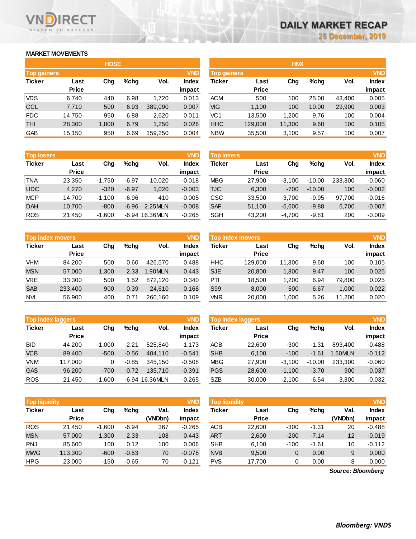#### **MARKET MOVEMENTS**

WISDOM TO SUCCESS

n

**RECT** 

| <b>HOSE</b>        |              |       |      |         |              |  |  |  |  |
|--------------------|--------------|-------|------|---------|--------------|--|--|--|--|
| <b>Top gainers</b> |              |       |      |         | <b>VND</b>   |  |  |  |  |
| <b>Ticker</b>      | Last         | Cha   | %chq | Vol.    | <b>Index</b> |  |  |  |  |
|                    | <b>Price</b> |       |      |         | impact       |  |  |  |  |
| <b>VDS</b>         | 6,740        | 440   | 6.98 | 1,720   | 0.013        |  |  |  |  |
| <b>CCL</b>         | 7,710        | 500   | 6.93 | 389,090 | 0.007        |  |  |  |  |
| <b>FDC</b>         | 14,750       | 950   | 6.88 | 2,620   | 0.011        |  |  |  |  |
| <b>THI</b>         | 28,300       | 1,800 | 6.79 | 1,250   | 0.026        |  |  |  |  |
| GAB                | 15,150       | 950   | 6.69 | 159,250 | 0.004        |  |  |  |  |

| <b>Top losers</b> |              |          |         |                | <b>VND</b>   |
|-------------------|--------------|----------|---------|----------------|--------------|
| <b>Ticker</b>     | Last         | Cha      | %chq    | Vol.           | <b>Index</b> |
|                   | <b>Price</b> |          |         |                | impact       |
| TNA               | 23,350       | $-1,750$ | $-6.97$ | 10.020         | $-0.018$     |
| <b>UDC</b>        | 4,270        | $-320$   | $-6.97$ | 1,020          | $-0.003$     |
| <b>MCP</b>        | 14,700       | $-1,100$ | $-6.96$ | 410            | $-0.005$     |
| <b>DAH</b>        | 10,700       | $-800$   | -6.96   | 2.25MLN        | $-0.008$     |
| <b>ROS</b>        | 21,450       | $-1,600$ |         | -6.94 16.36MLN | $-0.265$     |

|               | <b>VND</b><br><b>Top index movers</b> |             |      |         |                        |  |  |  |  |  |
|---------------|---------------------------------------|-------------|------|---------|------------------------|--|--|--|--|--|
| <b>Ticker</b> | Last<br><b>Price</b>                  | Cha<br>%chq |      | Vol.    | <b>Index</b><br>impact |  |  |  |  |  |
| VHM           | 84.200                                | 500         | 0.60 | 426.570 | 0.488                  |  |  |  |  |  |
|               |                                       |             |      |         |                        |  |  |  |  |  |
| <b>MSN</b>    | 57.000                                | 1,300       | 2.33 | 1.90MLN | 0.443                  |  |  |  |  |  |
| VRE           | 33,300                                | 500         | 1.52 | 872.120 | 0.340                  |  |  |  |  |  |
| <b>SAB</b>    | 233,400                               | 900         | 0.39 | 24,610  | 0.168                  |  |  |  |  |  |
| <b>NVL</b>    | 56,900                                | 400         | 0.71 | 260,160 | 0.109                  |  |  |  |  |  |

|               | <b>VND</b><br><b>Top index laggers</b> |          |         |                |              |  |  |  |  |  |
|---------------|----------------------------------------|----------|---------|----------------|--------------|--|--|--|--|--|
| <b>Ticker</b> | Last                                   | Cha      | %chq    | Vol.           | <b>Index</b> |  |  |  |  |  |
|               | <b>Price</b>                           |          |         |                | impact       |  |  |  |  |  |
| <b>BID</b>    | 44.200                                 | $-1,000$ | $-2.21$ | 525.840        | $-1.173$     |  |  |  |  |  |
| <b>VCB</b>    | 89,400                                 | $-500$   | $-0.56$ | 404.110        | $-0.541$     |  |  |  |  |  |
| <b>VNM</b>    | 117,000                                | 0        | $-0.85$ | 345,150        | $-0.508$     |  |  |  |  |  |
| <b>GAS</b>    | 96,200                                 | $-700$   | $-0.72$ | 135.710        | $-0.391$     |  |  |  |  |  |
| <b>ROS</b>    | 21,450                                 | $-1,600$ |         | -6.94 16.36MLN | $-0.265$     |  |  |  |  |  |

|               | <b>VND</b><br><b>Top liquidity</b> |          |         |         |              |  |  |  |  |  |
|---------------|------------------------------------|----------|---------|---------|--------------|--|--|--|--|--|
| <b>Ticker</b> | Last                               | Cha      | %chq    | Val.    | <b>Index</b> |  |  |  |  |  |
|               | <b>Price</b>                       |          |         | (VNDbn) | impact       |  |  |  |  |  |
| <b>ROS</b>    | 21,450                             | $-1,600$ | $-6.94$ | 367     | $-0.265$     |  |  |  |  |  |
| <b>MSN</b>    | 57,000                             | 1,300    | 2.33    | 108     | 0.443        |  |  |  |  |  |
| <b>PNJ</b>    | 85.600                             | 100      | 0.12    | 100     | 0.006        |  |  |  |  |  |
| <b>MWG</b>    | 113,300                            | $-600$   | $-0.53$ | 70      | $-0.078$     |  |  |  |  |  |
| <b>HPG</b>    | 23,000                             | $-150$   | $-0.65$ | 70      | $-0.121$     |  |  |  |  |  |

| <b>HOSE</b>                      |       |         |         |              |            | <b>HNX</b>         |        |       |        |              |
|----------------------------------|-------|---------|---------|--------------|------------|--------------------|--------|-------|--------|--------------|
| <b>VND</b><br><b>Top gainers</b> |       |         |         |              |            | <b>Top gainers</b> |        |       |        |              |
| Last                             | Chg   | $%$ chg | Vol.    | <b>Index</b> | Ticker     | Last               | Chg    | %chq  | Vol.   | <b>Index</b> |
| <b>Price</b>                     |       |         |         | impact       |            | <b>Price</b>       |        |       |        | impact       |
| 6,740                            | 440   | 6.98    | 1,720   | 0.013        | <b>ACM</b> | 500                | 100    | 25.00 | 43.400 | 0.005        |
| 7,710                            | 500   | 6.93    | 389.090 | 0.007        | VIG        | 1,100              | 100    | 10.00 | 29,900 | 0.003        |
| 14,750                           | 950   | 6.88    | 2,620   | 0.011        | VC1        | 13.500             | 1,200  | 9.76  | 100    | 0.004        |
| 28,300                           | 1,800 | 6.79    | 1,250   | 0.026        | <b>HHC</b> | 129,000            | 11,300 | 9.60  | 100    | 0.105        |
| 15,150                           | 950   | 6.69    | 159,250 | 0.004        | <b>NBW</b> | 35,500             | 3,100  | 9.57  | 100    | 0.007        |
|                                  |       |         |         |              |            |                    |        |       |        |              |

| <b>Top losers</b> | <b>VND</b>   |          |         |                |              |            | <b>VND</b><br><b>Top losers</b> |          |          |         |              |
|-------------------|--------------|----------|---------|----------------|--------------|------------|---------------------------------|----------|----------|---------|--------------|
| Ticker            | Last         | Chg      | $%$ chq | Vol.           | <b>Index</b> | Ticker     | Last                            | Chg      | %chq     | Vol.    | <b>Index</b> |
|                   | <b>Price</b> |          |         |                | impact       |            | <b>Price</b>                    |          |          |         | impact       |
| TNA               | 23,350       | $-1.750$ | $-6.97$ | 10,020         | $-0.018$     | MBG        | 27,900                          | $-3.100$ | $-10.00$ | 233.300 | $-0.060$     |
| <b>UDC</b>        | 4.270        | $-320$   | $-6.97$ | 1,020          | $-0.003$     | TJC        | 6,300                           | $-700$   | $-10.00$ | 100     | $-0.002$     |
| <b>MCP</b>        | 14.700       | $-1.100$ | $-6.96$ | 410            | $-0.005$     | CSC        | 33.500                          | $-3.700$ | $-9.95$  | 97.700  | $-0.016$     |
| <b>DAH</b>        | 10.700       | $-800$   | $-6.96$ | 2.25MLN        | $-0.008$     | <b>SAF</b> | 51,100                          | $-5.600$ | $-9.88$  | 6,700   | $-0.007$     |
| <b>ROS</b>        | 21,450       | $-1,600$ |         | -6.94 16.36MLN | $-0.265$     | <b>SGH</b> | 43,200                          | $-4,700$ | $-9.81$  | 200     | $-0.009$     |
|                   |              |          |         |                |              |            |                                 |          |          |         |              |

| <b>Top index movers</b> |                      |       |      |         | <b>VND</b>             | <b>Top index movers</b> |                      | <b>VND</b> |         |        |                        |
|-------------------------|----------------------|-------|------|---------|------------------------|-------------------------|----------------------|------------|---------|--------|------------------------|
| Ticker                  | Last<br><b>Price</b> | Chg   | %chq | Vol.    | <b>Index</b><br>impact | Ticker                  | Last<br><b>Price</b> | Chg        | $%$ chq | Vol.   | <b>Index</b><br>impact |
| VHM                     | 84.200               | 500   | 0.60 | 426.570 | 0.488                  | HHC                     | 129.000              | 11.300     | 9.60    | 100    | 0.105                  |
| <b>MSN</b>              | 57,000               | 1,300 | 2.33 | 1.90MLN | 0.443                  | <b>SJE</b>              | 20,800               | 1,800      | 9.47    | 100    | 0.025                  |
| <b>VRE</b>              | 33,300               | 500   | 1.52 | 872.120 | 0.340                  | PTI                     | 18.500               | 1.200      | 6.94    | 79.800 | 0.025                  |
| <b>SAB</b>              | 233,400              | 900   | 0.39 | 24.610  | 0.168                  | S99                     | 8.000                | 500        | 6.67    | 1.000  | 0.022                  |
| <b>NVL</b>              | 56,900               | 400   | 0.71 | 260.160 | 0.109                  | VNR                     | 20,000               | 000.       | 5.26    | 11,200 | 0.020                  |

| <b>Top index laggers</b> |              |          |         |                | <b>VND</b>   | Top index laggers |              |          |          |         | <b>VND</b>   |
|--------------------------|--------------|----------|---------|----------------|--------------|-------------------|--------------|----------|----------|---------|--------------|
| Ticker                   | Last         | Chg      | $%$ chq | Vol.           | <b>Index</b> | Ticker            | Last         | Chg      | $%$ chq  | Vol.    | <b>Index</b> |
|                          | <b>Price</b> |          |         |                | impact       |                   | <b>Price</b> |          |          |         | impact       |
| BID                      | 44.200       | $-1.000$ | $-2.21$ | 525.840        | $-1.173$     | <b>ACB</b>        | 22,600       | $-300$   | $-1.31$  | 893.400 | $-0.488$     |
| <b>VCB</b>               | 89.400       | $-500$   | $-0.56$ | 404.110        | $-0.541$     | <b>SHB</b>        | 6,100        | $-100$   | $-1.61$  | .60MLN  | $-0.112$     |
| <b>VNM</b>               | 117.000      |          | $-0.85$ | 345.150        | $-0.508$     | <b>MBG</b>        | 27,900       | $-3.100$ | $-10.00$ | 233.300 | $-0.060$     |
| GAS                      | 96.200       | $-700$   | $-0.72$ | 135.710        | $-0.391$     | <b>PGS</b>        | 28,600       | $-1.100$ | $-3.70$  | 900     | $-0.037$     |
| <b>ROS</b>               | 21,450       | $-1.600$ |         | -6.94 16.36MLN | $-0.265$     | <b>SZB</b>        | 30,000       | $-2.100$ | $-6.54$  | 3,300   | $-0.032$     |

| <b>Top liquidity</b> |              |          |         |         | <b>VND</b>   | <b>Top liquidity</b> |              |        |         |                   | <b>VND</b>   |
|----------------------|--------------|----------|---------|---------|--------------|----------------------|--------------|--------|---------|-------------------|--------------|
| <b>Ticker</b>        | Last         | Chg      | $%$ chq | Val.    | <b>Index</b> | <b>Ticker</b>        | Last         | Chg    | %chq    | Val.              | <b>Index</b> |
|                      | <b>Price</b> |          |         | (VNDbn) | impact       |                      | <b>Price</b> |        |         | (VNDbn)           | impact       |
| <b>ROS</b>           | 21.450       | $-1,600$ | $-6.94$ | 367     | $-0.265$     | <b>ACB</b>           | 22,600       | $-300$ | $-1.31$ | 20                | $-0.488$     |
| <b>MSN</b>           | 57,000       | 1,300    | 2.33    | 108     | 0.443        | <b>ART</b>           | 2,600        | $-200$ | $-7.14$ | 12                | $-0.019$     |
| PNJ                  | 85.600       | 100      | 0.12    | 100     | 0.006        | <b>SHB</b>           | 6,100        | $-100$ | $-1.61$ | 10                | $-0.112$     |
| <b>MWG</b>           | 113,300      | $-600$   | $-0.53$ | 70      | $-0.078$     | <b>NVB</b>           | 9,500        | 0      | 0.00    | 9                 | 0.000        |
| HPG                  | 23,000       | $-150$   | $-0.65$ | 70      | $-0.121$     | <b>PVS</b>           | 17,700       | 0      | 0.00    | 8                 | 0.000        |
|                      |              |          |         |         |              |                      |              |        |         | Source: Bloomberg |              |

*Source: Bloomberg*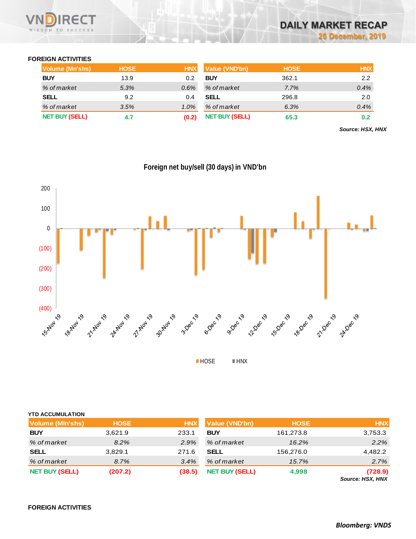

## **FOREIGN ACTIVITIES**

| <b>Volume (Mn'shs)</b> | <b>HOSE</b> | <b>HNX</b> | Value (VND'bn)        | <b>HOSE</b> | <b>HNX</b> |
|------------------------|-------------|------------|-----------------------|-------------|------------|
| <b>BUY</b>             | 13.9        | 0.2        | <b>BUY</b>            | 362.1       | 2.2        |
| % of market            | 5.3%        | $0.6\%$    | % of market           | 7.7%        | 0.4%       |
| SELL                   | 9.2         | 0.4        | SELL                  | 296.8       | 2.0        |
| % of market            | 3.5%        | $1.0\%$    | % of market           | 6.3%        | 0.4%       |
| <b>NET BUY (SELL)</b>  | 4.7         | (0.2)      | <b>NET BUY (SELL)</b> | 65.3        | 0.2        |

*Source: HSX, HNX*



**Foreign net buy/sell (30 days) in VND'bn**

| <b>YTD ACCUMULATION</b> |             |            |                       |             |                  |
|-------------------------|-------------|------------|-----------------------|-------------|------------------|
| Volume (MIn'shs)        | <b>HOSE</b> | <b>HNX</b> | <b>Value (VND'bn)</b> | <b>HOSE</b> | <b>HNX</b>       |
| <b>BUY</b>              | 3,621.9     | 233.1      | <b>BUY</b>            | 161,273.8   | 3,753.3          |
| % of market             | 8.2%        | 2.9%       | % of market           | 16.2%       | 2.2%             |
| <b>SELL</b>             | 3,829.1     | 271.6      | <b>SELL</b>           | 156,276.0   | 4,482.2          |
| % of market             | 8.7%        | 3.4%       | % of market           | 15.7%       | 2.7%             |
| <b>NET BUY (SELL)</b>   | (207.2)     | (38.5)     | <b>NET BUY (SELL)</b> | 4,998       | (728.9)          |
|                         |             |            |                       |             | Source: HSX, HNX |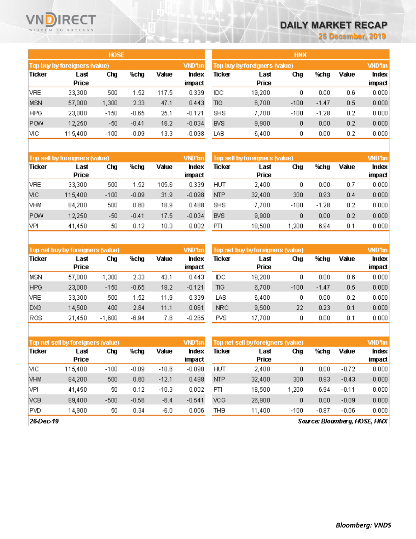## **RECT** WISDOM TO SUCCESS

# **DAILY MARKET RECAP**

**26 December, 2019**

Value

 $0.6\,$ 

 $0.5\,$ 

 $0.2$ 

 $0.2\,$ 

 $0.2\,$ 

**VND'bn** 

Index

impact

 $0.000$ 

 $0.000$ 

 $0.000$ 

 $0.000$ 

 $0.000$ 

|            |                               | <b>HOSE</b> |         |       |                |                               |               | <b>HNX</b> |         |  |
|------------|-------------------------------|-------------|---------|-------|----------------|-------------------------------|---------------|------------|---------|--|
|            | Top buy by foreigners (value) |             |         |       | VND'bn         | Top buy by foreigners (value) |               |            |         |  |
| Ticker     | Last<br><b>Price</b>          | Chg         | %chg    | Value | hdex<br>impact | Ticker                        | Last<br>Price | Chg        | %chg    |  |
| <b>VRE</b> | 33,300                        | 500         | 1.52    | 117.5 | 0.339          | IDC.                          | 19,200        | 0          | 0.00    |  |
| <b>MSN</b> | 57,000                        | 1,300       | 2.33    | 47.1  | 0.443          | ПG.                           | 6,700         | $-100$     | $-1.47$ |  |
| <b>HPG</b> | 23,000                        | $-150$      | $-0.65$ | 25.1  | $-0.121$       | <b>SHS</b>                    | 7,700         | $-100$     | $-1.28$ |  |
| <b>POW</b> | 12,250                        | -50         | $-0.41$ | 16.2  | $-0.034$       | <b>BVS</b>                    | 9,900         | 0          | 0.00    |  |
| VІС        | 115.400                       | $-100$      | $-0.09$ | 13.3  | $-0.098$       | LAS                           | 6.400         | 0          | 0.00    |  |

|               | Top sell by foreigners (value) |        |         |       | VND'bn                | Top sell by foreigners (value) | <b>WD'bn</b>         |        |         |       |                        |
|---------------|--------------------------------|--------|---------|-------|-----------------------|--------------------------------|----------------------|--------|---------|-------|------------------------|
| <b>Ticker</b> | Last<br><b>Price</b>           | Chg    | %chg    | Value | <b>ndex</b><br>impact | Ticker                         | Last<br><b>Price</b> | Chg    | %chg    | Value | <b>Index</b><br>impact |
| VRE           | 33,300                         | 500    | 1.52    | 105.6 | 0.339                 | HUT                            | 2,400                | 0      | 0.00    | 0.7   | 0.000                  |
| VIC           | 115,400                        | $-100$ | $-0.09$ | 31.9  | $-0.098$              | NTP                            | 32,400               | 300    | 0.93    | 0.4   | 0.000                  |
| VHM           | 84.200                         | 500    | 0.60    | 18.9  | 0.488                 | SHS                            | 7,700                | $-100$ | $-1.28$ | 0.2   | 0.000                  |
| <b>POW</b>    | 12,250                         | -50    | $-0.41$ | 17.5  | $-0.034$              | <b>BVS</b>                     | 9,900                | 0      | 0.00    | 0.2   | 0.000                  |
| VPI           | 41,450                         | 50     | 0.12    | 10.3  | 0.002                 | PTI                            | 18,500               | .200   | 6.94    | 0.1   | 0.000                  |

|            | Top net buy by foreigners (value) |          |         |       | VND'bn          |            | Top net buy by foreigners (value) |        |         | <b>VND'bn</b> |                        |
|------------|-----------------------------------|----------|---------|-------|-----------------|------------|-----------------------------------|--------|---------|---------------|------------------------|
| Ticker     | Last<br><b>Price</b>              | Chg      | %chg    | Value | Index<br>impact | Ticker     | Last<br><b>Price</b>              | Chg    | %chg    | Value         | <b>Index</b><br>impact |
| MSN        | 57,000                            | 1,300.   | 2.33    | 43.1  | 0.443           | IDС        | 19,200                            | 0      | 0.00    | 0.6           | 0.000                  |
| <b>HPG</b> | 23,000                            | $-150$   | $-0.65$ | 18.2  | $-0.121$        | ΠG         | 6,700                             | $-100$ | $-1.47$ | 0.5           | 0.000                  |
| <b>VRE</b> | 33,300                            | 500      | 1.52    | 11.9  | 0.339           | LAS        | 6,400                             | 0      | 0.00    | 0.2           | 0.000                  |
| DXG        | 14,500                            | 400      | 2.84    | 11.1  | 0.061           | <b>NRC</b> | 9,500                             | 22     | 0.23    | 0.1           | 0.000                  |
| ROS.       | 21.450                            | $-1.600$ | $-6.94$ | 7.6   | $-0.265$        | PVS.       | 17.700                            | 0      | 0.00    | 0.1           | 0.000                  |

|               | Top net sell by foreigners (value) |        |         |         | VND'bn                 | Top net sell by foreigners (value) |               | <b>WD'bn</b> |         |         |                 |
|---------------|------------------------------------|--------|---------|---------|------------------------|------------------------------------|---------------|--------------|---------|---------|-----------------|
| <b>Ticker</b> | Last<br><b>Price</b>               | Chg    | %chg    | Value   | <b>Index</b><br>impact | Ticker                             | Last<br>Price | Chg          | %chg    | Value   | Index<br>impact |
| VIC           | 115.400                            | $-100$ | $-0.09$ | $-18.6$ | $-0.098$               | HUT                                | 2.400         | 0            | 0.00    | $-0.72$ | 0.000           |
| <b>VHM</b>    | 84,200                             | 500    | 0.60    | $-12.1$ | 0.488                  | <b>NTP</b>                         | 32.400        | 300          | 0.93    | $-0.43$ | 0.000           |
| VPI           | 41,450                             | 50     | 0.12    | $-10.3$ | 0.002                  | PTI                                | 18,500        | 1.200        | 6.94    | $-0.11$ | 0.000           |
| <b>VCB</b>    | 89.400                             | $-500$ | $-0.56$ | $-6.4$  | $-0.541$               | VCG.                               | 26,900        | 0            | 0.00    | $-0.09$ | 0.000           |
| <b>PVD</b>    | 14,900                             | 50     | 0.34    | $-6.0$  | 0.006                  | THB                                | 11,400        | $-100$       | $-0.87$ | $-0.06$ | 0.000           |
|               |                                    |        |         |         |                        |                                    |               |              |         |         |                 |

26-Dec-19

Source: Bloomberg, HOSE, HNX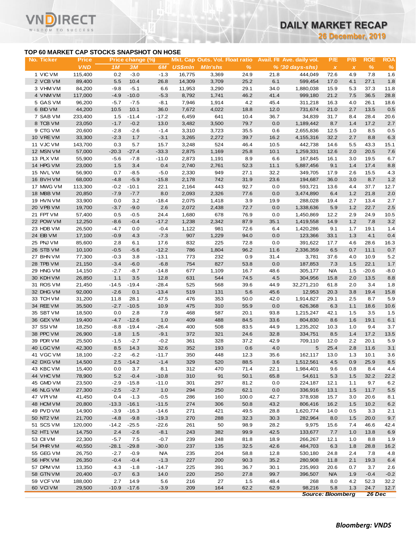**26 December, 2019**

#### **TOP 60 MARKET CAP STOCKS SNAPSHOT ON HOSE**

ECT

 $\checkmark$ 

| TOP 60 MARKET CAP STOCKS SNAPSHOT ON HOSE<br><b>Price</b><br>Mkt. Cap Outs. Vol. Float ratio<br>Avail. Fil Ave. daily vol.<br>P/E<br>P/B<br><b>ROE</b><br>Price change (%)<br><b>VND</b><br>$\%$<br>$\%$<br>1M<br>3M<br>6M<br><b>US\$mln</b><br>%<br><b>MIn'shs</b><br>$% (30 \, days - shs)$<br>$\boldsymbol{\mathsf{x}}$<br>$\pmb{\chi}$<br>1 VIC VM<br>0.2<br>115,400<br>$-3.0$<br>$-1.3$<br>16,775<br>3,369<br>24.9<br>21.8<br>444,049<br>4.9<br>7.8<br>1.6<br>72.6<br>2 VCB VM<br>6.1<br>89,400<br>5.5<br>10.4<br>26.8<br>14,309<br>3,709<br>25.2<br>599,454<br>4.1<br>27.1<br>1.8<br>17.0<br>3 VHM VM<br>84,200<br>$-9.8$<br>$-5.1$<br>6.6<br>11,953<br>3,290<br>29.1<br>34.0<br>1,880,038<br>15.9<br>5.3<br>37.3<br>11.8<br>4 VNM VM<br>$-4.9$<br>$-10.0$<br>41.4<br>117,000<br>$-5.3$<br>8,792<br>1,741<br>46.2<br>999,180<br>21.2<br>7.5<br>36.5<br>28.8<br>5 GAS VM<br>96,200<br>$-7.5$<br>4.2<br>45.4<br>4.0<br>26.1<br>18.6<br>$-5.7$<br>$-8.1$<br>7,946<br>1,914<br>311,218<br>16.3<br>0.5<br>6 BID VM<br>44,200<br>10.5<br>10.1<br>36.0<br>7,672<br>4,022<br>18.8<br>12.0<br>21.0<br>2.7<br>13.5<br>731,674<br>7 SAB VM<br>233,400<br>1.5<br>$-11.4$<br>$-17.2$<br>6,459<br>641<br>10.4<br>34,839<br>28.4<br>20.6<br>36.7<br>31.7<br>8.4<br>8 TCB VM<br>23,050<br>$-1.7$<br>$-0.2$<br>13.0<br>3,482<br>3,500<br>79.7<br>0.0<br>1,189,442<br>8.7<br>1.4<br>17.2<br>2.7<br>9 CTG VM<br>20,600<br>3,723<br>8.5<br>0.5<br>$-2.8$<br>$-2.6$<br>$-1.4$<br>3,310<br>35.5<br>0.6<br>2,655,836<br>12.5<br>1.0<br>6.3<br>10 VREVM<br>33,300<br>$-2.3$<br>1.7<br>$-3.1$<br>3,265<br>2,272<br>39.7<br>16.2<br>32.2<br>2.7<br>8.8<br>4,155,316<br>11 VJC VM<br>143,700<br>0.3<br>5.7<br>15.7<br>3,248<br>524<br>46.4<br>10.5<br>442,738<br>43.3<br>15.1<br>14.6<br>5.5<br>12 MSN VM<br>57,000<br>$-20.3$<br>$-27.4$<br>$-33.3$<br>2,875<br>1,169<br>25.8<br>10.1<br>12.6<br>2.0<br>20.5<br>7.6<br>1,259,331<br>13 PLX VM<br>55,900<br>$-5.6$<br>$-7.8$<br>$-11.0$<br>2,873<br>1,191<br>8.9<br>6.6<br>16.1<br>3.0<br>19.5<br>6.7<br>167,845<br>14 HPG VM<br>23,000<br>1.5<br>3.4<br>0.4<br>2,740<br>52.3<br>11.1<br>5,887,456<br>9.1<br>1.4<br>17.4<br>8.8<br>2,761<br>0.7<br>$-5.0$<br>2,330<br>949<br>27.1<br>32.2<br>15.5<br>4.3<br>15 NVL VM<br>56,900<br>$-8.5$<br>349,705<br>17.9<br>2.6<br>1.2<br>16 BVHVM<br>$-5.9$<br>$-15.8$<br>2,178<br>742<br>31.9<br>23.6<br>3.0<br>8.7<br>68,000<br>$-4.8$<br>194,687<br>36.0<br>443<br>17 MWG VM<br>113,300<br>$-0.2$<br>$-10.1$<br>22.1<br>2,164<br>92.7<br>37.7<br>12.7<br>0.0<br>593,721<br>13.6<br>4.4<br>18 MBB VM<br>20,850<br>$-7.9$<br>$-7.7$<br>8.0<br>2,093<br>2,326<br>77.6<br>0.0<br>3,474,890<br>6.4<br>1.2<br>21.8<br>2.0<br>19 HVN VM<br>33,900<br>0.0<br>3.2<br>$-18.4$<br>2,075<br>1,418<br>3.9<br>19.9<br>288,028<br>2.7<br>13.4<br>2.7<br>19.4<br>2.6<br>0.0<br>22.7<br>2.5<br>20 VPB VM<br>19,700<br>$-3.7$<br>$-9.0$<br>2,072<br>2,438<br>72.7<br>1,338,636<br>5.9<br>1.2<br>21 FPT VM<br>57,400<br>0.5<br>$-0.5$<br>24.4<br>1,680<br>678<br>76.9<br>0.0<br>1,450,869<br>12.2<br>2.9<br>24.9<br>10.5<br>3.2<br>22 POW VM<br>12,250<br>$-8.6$<br>$-0.4$<br>$-17.2$<br>1,238<br>2,342<br>87.9<br>35.1<br>1,419,558<br>14.9<br>1.2<br>7.8<br>23 HDB VM<br>26,500<br>981<br>72.6<br>9.1<br>1.7<br>19.1<br>$-4.7$<br>0.0<br>$-0.4$<br>1,122<br>6.4<br>1,420,286<br>1.4<br>24 EIB VM<br>$-0.9$<br>$-7.3$<br>907<br>1,229<br>94.0<br>0.0<br>123,366<br>1.3<br>4.1<br>0.4<br>17,100<br>4.3<br>33.1<br>832<br>225<br>25 PNJ VM<br>85,600<br>72.8<br>28.6<br>16.3<br>2.8<br>6.1<br>17.6<br>0.0<br>391,622<br>17.7<br>4.6<br>26 STB VM<br>$-0.5$<br>$-12.2$<br>786<br>1,804<br>96.2<br>11.6<br>2,336,359<br>6.5<br>11.1<br>0.7<br>10,100<br>$-5.6$<br>0.7<br>0.9<br>27 BHN VM<br>77,300<br>$-13.1$<br>773<br>232<br>31.4<br>3,781<br>37.6<br>4.0<br>10.9<br>5.2<br>$-0.3$<br>3.8<br>$-6.8$<br>827<br>22.1<br>28 TPB VM<br>21,150<br>$-3.4$<br>$-6.0$<br>754<br>53.8<br>0.0<br>187,853<br>7.3<br>1.5<br>1.7<br>29 HNG VM<br>14,150<br>$-14.8$<br>677<br>1,109<br>16.7<br>48.6<br>305,177<br><b>N/A</b><br>$-20.6$<br>$-8.0$<br>$-2.7$<br>$-8.7$<br>1.5<br>30 KDH VM<br>26,850<br>1.1<br>3.5<br>12.8<br>631<br>544<br>74.5<br>4.5<br>304,956<br>15.8<br>2.0<br>13.5<br>8.8<br>31 ROS VM<br>$-19.4$<br>525<br>568<br>1.8<br>21,450<br>$-14.5$<br>$-28.4$<br>39.6<br>44.9<br>32,271,210<br>61.8<br>2.0<br>3.4<br>32 DHG VM<br>92,000<br>$-2.6$<br>0.1<br>$-13.4$<br>519<br>131<br>5.6<br>45.6<br>3.8<br>19.4<br>15.8<br>12,953<br>20.3<br>33 TCH VM<br>31,200<br>28.1<br>476<br>353<br>42.0<br>1,914,827<br>5.9<br>11.8<br>47.5<br>50.0<br>29.1<br>2.5<br>8.7<br>$-10.5$<br>34 REE VM<br>35,500<br>$-2.7$<br>10.9<br>475<br>310<br>55.9<br>0.0<br>626,368<br>6.3<br>1.1<br>18.6<br>10.6<br>2.8<br>35 SBT VM<br>18,500<br>0.0<br>7.9<br>468<br>587<br>20.1<br>93.8<br>1,215,247<br>42.1<br>1.5<br>3.5<br>1.5<br>36 GEX VM<br>19,400<br>$-4.7$<br>$-12.6$<br>1.0<br>409<br>488<br>84.5<br>33.6<br>804,830<br>8.6<br>1.6<br>19.1<br>6.1<br>37 SSIVM<br>18,250<br>$-8.8$<br>$-19.4$<br>$-26.4$<br>400<br>508<br>83.5<br>44.9<br>1,235,202<br>10.3<br>1.0<br>9.4<br>3.7<br>17.2<br>38 PPC VM<br>$-1.8$<br>1.5<br>$-9.1$<br>372<br>321<br>24.6<br>32.8<br>334,751<br>8.5<br>1.4<br>13.5<br>26,900<br>39 PDR VM<br>$-0.2$<br>328<br>37.2<br>42.9<br>709,110<br>20.1<br>5.9<br>25,500<br>$-1.5$<br>$-2.7$<br>361<br>12.0<br>2.2<br>40 LGC VM<br>42,300<br>8.5<br>14.3<br>32.6<br>352<br>193<br>0.6<br>4.0<br>5<br>2.8<br>11.6<br>3.1<br>25.4<br>41 VGC VM<br>18,100<br>$-2.2$<br>$-6.2$<br>350<br>448<br>162,117<br>$-11.7$<br>12.3<br>35.6<br>13.0<br>1.3<br>10.1<br>3.6<br>42 DXG VM<br>14,500<br>2.5<br>$-14.2$<br>$-1.4$<br>329<br>520<br>88.5<br>3.6<br>0.9<br>25.9<br>8.5<br>1,512,561<br>4.5<br>43 KBC VM<br>15,400<br>0.0<br>3.7<br>312<br>470<br>71.4<br>22.1<br>1,984,401<br>8.4<br>8.1<br>9.6<br>0.8<br>4.4<br>44 VHC VM<br>78,900<br>5.2<br>$-0.4$<br>$-10.8$<br>310<br>91<br>65.8<br>54,611<br>50.1<br>5.3<br>$1.5$<br>32.2<br>22.2<br>45 GMD VM<br>23,500<br>$-2.9$<br>$-15.8$<br>$-11.0$<br>301<br>297<br>0.0<br>9.7<br>81.2<br>224,187<br>12.1<br>1.1<br>6.2<br>46 NLG VM<br>27,300<br>$-2.5$<br>$-2.7$<br>1.0<br>294<br>250<br>62.1<br>0.0<br>11.7<br>$5.5\,$<br>336,916<br>13.1<br>$1.5$<br>47 VPIVM<br>0.4<br>$-1.3$<br>$-0.5$<br>160<br>42.7<br>41,450<br>286<br>100.0<br>378,938<br>15.7<br>3.0<br>20.6<br>8.1<br>48 HCM VM<br>20,800<br>$-16.1$<br>$-11.5$<br>274<br>306<br>50.8<br>43.2<br>10.2<br>6.2<br>$-13.3$<br>806,416<br>16.2<br>$1.5$<br>49 PVD VM<br>14,900<br>$-16.3$<br>271<br>421<br>28.8<br>1,620,774<br>$-3.9$<br>$-14.6$<br>49.5<br>14.0<br>0.5<br>3.3<br>2.1<br>50 NT2 VM<br>21,700<br>$-4.8$<br>$-9.8$<br>$-19.3$<br>270<br>288<br>32.3<br>30.3<br>282,964<br>8.0<br>1.5<br>20.0<br>9.7<br>51 SCS VM<br>120,000<br>$-25.5$<br>$-22.6$<br>261<br>50<br>98.9<br>28.2<br>9,975<br>46.6<br>$-14.2$<br>15.6<br>7.4<br>42.4<br>52 HT1 VM<br>14,750<br>2.4<br>$-2.6$<br>$-8.1$<br>243<br>382<br>99.9<br>42.5<br>7.7<br>13.8<br>133,677<br>1.0<br>6.9<br>53 CII VM<br>22,300<br>$-5.7$<br>7.5<br>$-0.7$<br>239<br>248<br>81.8<br>18.9<br>12.1<br>8.8<br>266,267<br>1.0<br>1.9<br>54 PHR VM<br>40,550<br>$-28.1$<br>$-29.8$<br>$-30.0$<br>237<br>135<br>32.5<br>42.6<br>484,703<br>6.3<br>28.8<br>1.8<br>16.2<br>26,750<br>55 GEG VM<br>$-2.7$<br>$-0.9$<br><b>N/A</b><br>235<br>204<br>58.8<br>12.8<br>530,180<br>24.8<br>2.4<br>7.8<br>4.8<br>56 HPX VM<br>$-1.3$<br>227<br>200<br>35.2<br>26,350<br>$-0.4$<br>$-0.4$<br>90.3<br>280,908<br>11.8<br>2.1<br>19.3<br>6.4<br>57 DPM VM<br>225<br>13,350<br>4.3<br>$-1.8$<br>$-14.7$<br>391<br>36.7<br>30.1<br>235,993<br>0.7<br>3.7<br>2.6<br>20.6<br>58 GTN VM<br>20,400<br>14.0<br>220<br>250<br>27.8<br>99.7<br>396,507<br>1.9<br>$-0.7$<br>6.3<br><b>N/A</b><br>$-0.4$<br>59 VCF VM<br>188,000<br>2.7<br>14.9<br>5.6<br>216<br>27<br>1.5<br>48.4<br>268<br>4.2<br>52.3<br>32.2<br>8.0<br>60 VCIVM<br>29,500<br>$-3.9$<br>209<br>164<br>62.2<br>98,216<br>24.7<br>12.7<br>$-10.9$<br>$-17.6$<br>62.9<br>5.8<br>1.3<br><b>Source: Bloomberg</b><br>26 Dec |            |  |  |  |  | <b>26 December, 2019</b> |  |            |
|----------------------------------------------------------------------------------------------------------------------------------------------------------------------------------------------------------------------------------------------------------------------------------------------------------------------------------------------------------------------------------------------------------------------------------------------------------------------------------------------------------------------------------------------------------------------------------------------------------------------------------------------------------------------------------------------------------------------------------------------------------------------------------------------------------------------------------------------------------------------------------------------------------------------------------------------------------------------------------------------------------------------------------------------------------------------------------------------------------------------------------------------------------------------------------------------------------------------------------------------------------------------------------------------------------------------------------------------------------------------------------------------------------------------------------------------------------------------------------------------------------------------------------------------------------------------------------------------------------------------------------------------------------------------------------------------------------------------------------------------------------------------------------------------------------------------------------------------------------------------------------------------------------------------------------------------------------------------------------------------------------------------------------------------------------------------------------------------------------------------------------------------------------------------------------------------------------------------------------------------------------------------------------------------------------------------------------------------------------------------------------------------------------------------------------------------------------------------------------------------------------------------------------------------------------------------------------------------------------------------------------------------------------------------------------------------------------------------------------------------------------------------------------------------------------------------------------------------------------------------------------------------------------------------------------------------------------------------------------------------------------------------------------------------------------------------------------------------------------------------------------------------------------------------------------------------------------------------------------------------------------------------------------------------------------------------------------------------------------------------------------------------------------------------------------------------------------------------------------------------------------------------------------------------------------------------------------------------------------------------------------------------------------------------------------------------------------------------------------------------------------------------------------------------------------------------------------------------------------------------------------------------------------------------------------------------------------------------------------------------------------------------------------------------------------------------------------------------------------------------------------------------------------------------------------------------------------------------------------------------------------------------------------------------------------------------------------------------------------------------------------------------------------------------------------------------------------------------------------------------------------------------------------------------------------------------------------------------------------------------------------------------------------------------------------------------------------------------------------------------------------------------------------------------------------------------------------------------------------------------------------------------------------------------------------------------------------------------------------------------------------------------------------------------------------------------------------------------------------------------------------------------------------------------------------------------------------------------------------------------------------------------------------------------------------------------------------------------------------------------------------------------------------------------------------------------------------------------------------------------------------------------------------------------------------------------------------------------------------------------------------------------------------------------------------------------------------------------------------------------------------------------------------------------------------------------------------------------------------------------------------------------------------------------------------------------------------------------------------------------------------------------------------------------------------------------------------------------------------------------------------------------------------------------------------------------------------------------------------------------------------------------------------------------------------------------------------------------------------------------------------------------------------------------------------------------------------------------------------------------------------------------------------------------------------------------------------------------------------------------------------------------------------------------------------------------------------------------------------------------------------------------------------------------------------------------------------------------------------------------------------------------------------------------------------------------------------------------------------------------------------------------------------------------------------------------------------------------------------------------------------------------------------------------------------------------------------------------------------------------------------------------------------------------------------------------------------------------------------------------------------------------------------------------------------------------------------------------------------------------------------------------------------------------------------------------------------------------------------------------------------------------------------------------------------------------------------------------------------------------------------------------------------------------------------------------------------------------------------------------------------------------------------------------------------------------------------------------------------------------------------------------------------------------------------------------------------------|------------|--|--|--|--|--------------------------|--|------------|
|                                                                                                                                                                                                                                                                                                                                                                                                                                                                                                                                                                                                                                                                                                                                                                                                                                                                                                                                                                                                                                                                                                                                                                                                                                                                                                                                                                                                                                                                                                                                                                                                                                                                                                                                                                                                                                                                                                                                                                                                                                                                                                                                                                                                                                                                                                                                                                                                                                                                                                                                                                                                                                                                                                                                                                                                                                                                                                                                                                                                                                                                                                                                                                                                                                                                                                                                                                                                                                                                                                                                                                                                                                                                                                                                                                                                                                                                                                                                                                                                                                                                                                                                                                                                                                                                                                                                                                                                                                                                                                                                                                                                                                                                                                                                                                                                                                                                                                                                                                                                                                                                                                                                                                                                                                                                                                                                                                                                                                                                                                                                                                                                                                                                                                                                                                                                                                                                                                                                                                                                                                                                                                                                                                                                                                                                                                                                                                                                                                                                                                                                                                                                                                                                                                                                                                                                                                                                                                                                                                                                                                                                                                                                                                                                                                                                                                                                                                                                                                                                                                                                                                                                                                                                                                                                                                                                                                                                                                                                                                                                                                                                                        |            |  |  |  |  |                          |  |            |
|                                                                                                                                                                                                                                                                                                                                                                                                                                                                                                                                                                                                                                                                                                                                                                                                                                                                                                                                                                                                                                                                                                                                                                                                                                                                                                                                                                                                                                                                                                                                                                                                                                                                                                                                                                                                                                                                                                                                                                                                                                                                                                                                                                                                                                                                                                                                                                                                                                                                                                                                                                                                                                                                                                                                                                                                                                                                                                                                                                                                                                                                                                                                                                                                                                                                                                                                                                                                                                                                                                                                                                                                                                                                                                                                                                                                                                                                                                                                                                                                                                                                                                                                                                                                                                                                                                                                                                                                                                                                                                                                                                                                                                                                                                                                                                                                                                                                                                                                                                                                                                                                                                                                                                                                                                                                                                                                                                                                                                                                                                                                                                                                                                                                                                                                                                                                                                                                                                                                                                                                                                                                                                                                                                                                                                                                                                                                                                                                                                                                                                                                                                                                                                                                                                                                                                                                                                                                                                                                                                                                                                                                                                                                                                                                                                                                                                                                                                                                                                                                                                                                                                                                                                                                                                                                                                                                                                                                                                                                                                                                                                                                                        | No. Ticker |  |  |  |  |                          |  | <b>ROA</b> |
|                                                                                                                                                                                                                                                                                                                                                                                                                                                                                                                                                                                                                                                                                                                                                                                                                                                                                                                                                                                                                                                                                                                                                                                                                                                                                                                                                                                                                                                                                                                                                                                                                                                                                                                                                                                                                                                                                                                                                                                                                                                                                                                                                                                                                                                                                                                                                                                                                                                                                                                                                                                                                                                                                                                                                                                                                                                                                                                                                                                                                                                                                                                                                                                                                                                                                                                                                                                                                                                                                                                                                                                                                                                                                                                                                                                                                                                                                                                                                                                                                                                                                                                                                                                                                                                                                                                                                                                                                                                                                                                                                                                                                                                                                                                                                                                                                                                                                                                                                                                                                                                                                                                                                                                                                                                                                                                                                                                                                                                                                                                                                                                                                                                                                                                                                                                                                                                                                                                                                                                                                                                                                                                                                                                                                                                                                                                                                                                                                                                                                                                                                                                                                                                                                                                                                                                                                                                                                                                                                                                                                                                                                                                                                                                                                                                                                                                                                                                                                                                                                                                                                                                                                                                                                                                                                                                                                                                                                                                                                                                                                                                                                        |            |  |  |  |  |                          |  |            |
|                                                                                                                                                                                                                                                                                                                                                                                                                                                                                                                                                                                                                                                                                                                                                                                                                                                                                                                                                                                                                                                                                                                                                                                                                                                                                                                                                                                                                                                                                                                                                                                                                                                                                                                                                                                                                                                                                                                                                                                                                                                                                                                                                                                                                                                                                                                                                                                                                                                                                                                                                                                                                                                                                                                                                                                                                                                                                                                                                                                                                                                                                                                                                                                                                                                                                                                                                                                                                                                                                                                                                                                                                                                                                                                                                                                                                                                                                                                                                                                                                                                                                                                                                                                                                                                                                                                                                                                                                                                                                                                                                                                                                                                                                                                                                                                                                                                                                                                                                                                                                                                                                                                                                                                                                                                                                                                                                                                                                                                                                                                                                                                                                                                                                                                                                                                                                                                                                                                                                                                                                                                                                                                                                                                                                                                                                                                                                                                                                                                                                                                                                                                                                                                                                                                                                                                                                                                                                                                                                                                                                                                                                                                                                                                                                                                                                                                                                                                                                                                                                                                                                                                                                                                                                                                                                                                                                                                                                                                                                                                                                                                                                        |            |  |  |  |  |                          |  |            |
|                                                                                                                                                                                                                                                                                                                                                                                                                                                                                                                                                                                                                                                                                                                                                                                                                                                                                                                                                                                                                                                                                                                                                                                                                                                                                                                                                                                                                                                                                                                                                                                                                                                                                                                                                                                                                                                                                                                                                                                                                                                                                                                                                                                                                                                                                                                                                                                                                                                                                                                                                                                                                                                                                                                                                                                                                                                                                                                                                                                                                                                                                                                                                                                                                                                                                                                                                                                                                                                                                                                                                                                                                                                                                                                                                                                                                                                                                                                                                                                                                                                                                                                                                                                                                                                                                                                                                                                                                                                                                                                                                                                                                                                                                                                                                                                                                                                                                                                                                                                                                                                                                                                                                                                                                                                                                                                                                                                                                                                                                                                                                                                                                                                                                                                                                                                                                                                                                                                                                                                                                                                                                                                                                                                                                                                                                                                                                                                                                                                                                                                                                                                                                                                                                                                                                                                                                                                                                                                                                                                                                                                                                                                                                                                                                                                                                                                                                                                                                                                                                                                                                                                                                                                                                                                                                                                                                                                                                                                                                                                                                                                                                        |            |  |  |  |  |                          |  |            |
|                                                                                                                                                                                                                                                                                                                                                                                                                                                                                                                                                                                                                                                                                                                                                                                                                                                                                                                                                                                                                                                                                                                                                                                                                                                                                                                                                                                                                                                                                                                                                                                                                                                                                                                                                                                                                                                                                                                                                                                                                                                                                                                                                                                                                                                                                                                                                                                                                                                                                                                                                                                                                                                                                                                                                                                                                                                                                                                                                                                                                                                                                                                                                                                                                                                                                                                                                                                                                                                                                                                                                                                                                                                                                                                                                                                                                                                                                                                                                                                                                                                                                                                                                                                                                                                                                                                                                                                                                                                                                                                                                                                                                                                                                                                                                                                                                                                                                                                                                                                                                                                                                                                                                                                                                                                                                                                                                                                                                                                                                                                                                                                                                                                                                                                                                                                                                                                                                                                                                                                                                                                                                                                                                                                                                                                                                                                                                                                                                                                                                                                                                                                                                                                                                                                                                                                                                                                                                                                                                                                                                                                                                                                                                                                                                                                                                                                                                                                                                                                                                                                                                                                                                                                                                                                                                                                                                                                                                                                                                                                                                                                                                        |            |  |  |  |  |                          |  |            |
|                                                                                                                                                                                                                                                                                                                                                                                                                                                                                                                                                                                                                                                                                                                                                                                                                                                                                                                                                                                                                                                                                                                                                                                                                                                                                                                                                                                                                                                                                                                                                                                                                                                                                                                                                                                                                                                                                                                                                                                                                                                                                                                                                                                                                                                                                                                                                                                                                                                                                                                                                                                                                                                                                                                                                                                                                                                                                                                                                                                                                                                                                                                                                                                                                                                                                                                                                                                                                                                                                                                                                                                                                                                                                                                                                                                                                                                                                                                                                                                                                                                                                                                                                                                                                                                                                                                                                                                                                                                                                                                                                                                                                                                                                                                                                                                                                                                                                                                                                                                                                                                                                                                                                                                                                                                                                                                                                                                                                                                                                                                                                                                                                                                                                                                                                                                                                                                                                                                                                                                                                                                                                                                                                                                                                                                                                                                                                                                                                                                                                                                                                                                                                                                                                                                                                                                                                                                                                                                                                                                                                                                                                                                                                                                                                                                                                                                                                                                                                                                                                                                                                                                                                                                                                                                                                                                                                                                                                                                                                                                                                                                                                        |            |  |  |  |  |                          |  |            |
|                                                                                                                                                                                                                                                                                                                                                                                                                                                                                                                                                                                                                                                                                                                                                                                                                                                                                                                                                                                                                                                                                                                                                                                                                                                                                                                                                                                                                                                                                                                                                                                                                                                                                                                                                                                                                                                                                                                                                                                                                                                                                                                                                                                                                                                                                                                                                                                                                                                                                                                                                                                                                                                                                                                                                                                                                                                                                                                                                                                                                                                                                                                                                                                                                                                                                                                                                                                                                                                                                                                                                                                                                                                                                                                                                                                                                                                                                                                                                                                                                                                                                                                                                                                                                                                                                                                                                                                                                                                                                                                                                                                                                                                                                                                                                                                                                                                                                                                                                                                                                                                                                                                                                                                                                                                                                                                                                                                                                                                                                                                                                                                                                                                                                                                                                                                                                                                                                                                                                                                                                                                                                                                                                                                                                                                                                                                                                                                                                                                                                                                                                                                                                                                                                                                                                                                                                                                                                                                                                                                                                                                                                                                                                                                                                                                                                                                                                                                                                                                                                                                                                                                                                                                                                                                                                                                                                                                                                                                                                                                                                                                                                        |            |  |  |  |  |                          |  |            |
|                                                                                                                                                                                                                                                                                                                                                                                                                                                                                                                                                                                                                                                                                                                                                                                                                                                                                                                                                                                                                                                                                                                                                                                                                                                                                                                                                                                                                                                                                                                                                                                                                                                                                                                                                                                                                                                                                                                                                                                                                                                                                                                                                                                                                                                                                                                                                                                                                                                                                                                                                                                                                                                                                                                                                                                                                                                                                                                                                                                                                                                                                                                                                                                                                                                                                                                                                                                                                                                                                                                                                                                                                                                                                                                                                                                                                                                                                                                                                                                                                                                                                                                                                                                                                                                                                                                                                                                                                                                                                                                                                                                                                                                                                                                                                                                                                                                                                                                                                                                                                                                                                                                                                                                                                                                                                                                                                                                                                                                                                                                                                                                                                                                                                                                                                                                                                                                                                                                                                                                                                                                                                                                                                                                                                                                                                                                                                                                                                                                                                                                                                                                                                                                                                                                                                                                                                                                                                                                                                                                                                                                                                                                                                                                                                                                                                                                                                                                                                                                                                                                                                                                                                                                                                                                                                                                                                                                                                                                                                                                                                                                                                        |            |  |  |  |  |                          |  |            |
|                                                                                                                                                                                                                                                                                                                                                                                                                                                                                                                                                                                                                                                                                                                                                                                                                                                                                                                                                                                                                                                                                                                                                                                                                                                                                                                                                                                                                                                                                                                                                                                                                                                                                                                                                                                                                                                                                                                                                                                                                                                                                                                                                                                                                                                                                                                                                                                                                                                                                                                                                                                                                                                                                                                                                                                                                                                                                                                                                                                                                                                                                                                                                                                                                                                                                                                                                                                                                                                                                                                                                                                                                                                                                                                                                                                                                                                                                                                                                                                                                                                                                                                                                                                                                                                                                                                                                                                                                                                                                                                                                                                                                                                                                                                                                                                                                                                                                                                                                                                                                                                                                                                                                                                                                                                                                                                                                                                                                                                                                                                                                                                                                                                                                                                                                                                                                                                                                                                                                                                                                                                                                                                                                                                                                                                                                                                                                                                                                                                                                                                                                                                                                                                                                                                                                                                                                                                                                                                                                                                                                                                                                                                                                                                                                                                                                                                                                                                                                                                                                                                                                                                                                                                                                                                                                                                                                                                                                                                                                                                                                                                                                        |            |  |  |  |  |                          |  |            |
|                                                                                                                                                                                                                                                                                                                                                                                                                                                                                                                                                                                                                                                                                                                                                                                                                                                                                                                                                                                                                                                                                                                                                                                                                                                                                                                                                                                                                                                                                                                                                                                                                                                                                                                                                                                                                                                                                                                                                                                                                                                                                                                                                                                                                                                                                                                                                                                                                                                                                                                                                                                                                                                                                                                                                                                                                                                                                                                                                                                                                                                                                                                                                                                                                                                                                                                                                                                                                                                                                                                                                                                                                                                                                                                                                                                                                                                                                                                                                                                                                                                                                                                                                                                                                                                                                                                                                                                                                                                                                                                                                                                                                                                                                                                                                                                                                                                                                                                                                                                                                                                                                                                                                                                                                                                                                                                                                                                                                                                                                                                                                                                                                                                                                                                                                                                                                                                                                                                                                                                                                                                                                                                                                                                                                                                                                                                                                                                                                                                                                                                                                                                                                                                                                                                                                                                                                                                                                                                                                                                                                                                                                                                                                                                                                                                                                                                                                                                                                                                                                                                                                                                                                                                                                                                                                                                                                                                                                                                                                                                                                                                                                        |            |  |  |  |  |                          |  |            |
|                                                                                                                                                                                                                                                                                                                                                                                                                                                                                                                                                                                                                                                                                                                                                                                                                                                                                                                                                                                                                                                                                                                                                                                                                                                                                                                                                                                                                                                                                                                                                                                                                                                                                                                                                                                                                                                                                                                                                                                                                                                                                                                                                                                                                                                                                                                                                                                                                                                                                                                                                                                                                                                                                                                                                                                                                                                                                                                                                                                                                                                                                                                                                                                                                                                                                                                                                                                                                                                                                                                                                                                                                                                                                                                                                                                                                                                                                                                                                                                                                                                                                                                                                                                                                                                                                                                                                                                                                                                                                                                                                                                                                                                                                                                                                                                                                                                                                                                                                                                                                                                                                                                                                                                                                                                                                                                                                                                                                                                                                                                                                                                                                                                                                                                                                                                                                                                                                                                                                                                                                                                                                                                                                                                                                                                                                                                                                                                                                                                                                                                                                                                                                                                                                                                                                                                                                                                                                                                                                                                                                                                                                                                                                                                                                                                                                                                                                                                                                                                                                                                                                                                                                                                                                                                                                                                                                                                                                                                                                                                                                                                                                        |            |  |  |  |  |                          |  |            |
|                                                                                                                                                                                                                                                                                                                                                                                                                                                                                                                                                                                                                                                                                                                                                                                                                                                                                                                                                                                                                                                                                                                                                                                                                                                                                                                                                                                                                                                                                                                                                                                                                                                                                                                                                                                                                                                                                                                                                                                                                                                                                                                                                                                                                                                                                                                                                                                                                                                                                                                                                                                                                                                                                                                                                                                                                                                                                                                                                                                                                                                                                                                                                                                                                                                                                                                                                                                                                                                                                                                                                                                                                                                                                                                                                                                                                                                                                                                                                                                                                                                                                                                                                                                                                                                                                                                                                                                                                                                                                                                                                                                                                                                                                                                                                                                                                                                                                                                                                                                                                                                                                                                                                                                                                                                                                                                                                                                                                                                                                                                                                                                                                                                                                                                                                                                                                                                                                                                                                                                                                                                                                                                                                                                                                                                                                                                                                                                                                                                                                                                                                                                                                                                                                                                                                                                                                                                                                                                                                                                                                                                                                                                                                                                                                                                                                                                                                                                                                                                                                                                                                                                                                                                                                                                                                                                                                                                                                                                                                                                                                                                                                        |            |  |  |  |  |                          |  |            |
|                                                                                                                                                                                                                                                                                                                                                                                                                                                                                                                                                                                                                                                                                                                                                                                                                                                                                                                                                                                                                                                                                                                                                                                                                                                                                                                                                                                                                                                                                                                                                                                                                                                                                                                                                                                                                                                                                                                                                                                                                                                                                                                                                                                                                                                                                                                                                                                                                                                                                                                                                                                                                                                                                                                                                                                                                                                                                                                                                                                                                                                                                                                                                                                                                                                                                                                                                                                                                                                                                                                                                                                                                                                                                                                                                                                                                                                                                                                                                                                                                                                                                                                                                                                                                                                                                                                                                                                                                                                                                                                                                                                                                                                                                                                                                                                                                                                                                                                                                                                                                                                                                                                                                                                                                                                                                                                                                                                                                                                                                                                                                                                                                                                                                                                                                                                                                                                                                                                                                                                                                                                                                                                                                                                                                                                                                                                                                                                                                                                                                                                                                                                                                                                                                                                                                                                                                                                                                                                                                                                                                                                                                                                                                                                                                                                                                                                                                                                                                                                                                                                                                                                                                                                                                                                                                                                                                                                                                                                                                                                                                                                                                        |            |  |  |  |  |                          |  |            |
|                                                                                                                                                                                                                                                                                                                                                                                                                                                                                                                                                                                                                                                                                                                                                                                                                                                                                                                                                                                                                                                                                                                                                                                                                                                                                                                                                                                                                                                                                                                                                                                                                                                                                                                                                                                                                                                                                                                                                                                                                                                                                                                                                                                                                                                                                                                                                                                                                                                                                                                                                                                                                                                                                                                                                                                                                                                                                                                                                                                                                                                                                                                                                                                                                                                                                                                                                                                                                                                                                                                                                                                                                                                                                                                                                                                                                                                                                                                                                                                                                                                                                                                                                                                                                                                                                                                                                                                                                                                                                                                                                                                                                                                                                                                                                                                                                                                                                                                                                                                                                                                                                                                                                                                                                                                                                                                                                                                                                                                                                                                                                                                                                                                                                                                                                                                                                                                                                                                                                                                                                                                                                                                                                                                                                                                                                                                                                                                                                                                                                                                                                                                                                                                                                                                                                                                                                                                                                                                                                                                                                                                                                                                                                                                                                                                                                                                                                                                                                                                                                                                                                                                                                                                                                                                                                                                                                                                                                                                                                                                                                                                                                        |            |  |  |  |  |                          |  |            |
|                                                                                                                                                                                                                                                                                                                                                                                                                                                                                                                                                                                                                                                                                                                                                                                                                                                                                                                                                                                                                                                                                                                                                                                                                                                                                                                                                                                                                                                                                                                                                                                                                                                                                                                                                                                                                                                                                                                                                                                                                                                                                                                                                                                                                                                                                                                                                                                                                                                                                                                                                                                                                                                                                                                                                                                                                                                                                                                                                                                                                                                                                                                                                                                                                                                                                                                                                                                                                                                                                                                                                                                                                                                                                                                                                                                                                                                                                                                                                                                                                                                                                                                                                                                                                                                                                                                                                                                                                                                                                                                                                                                                                                                                                                                                                                                                                                                                                                                                                                                                                                                                                                                                                                                                                                                                                                                                                                                                                                                                                                                                                                                                                                                                                                                                                                                                                                                                                                                                                                                                                                                                                                                                                                                                                                                                                                                                                                                                                                                                                                                                                                                                                                                                                                                                                                                                                                                                                                                                                                                                                                                                                                                                                                                                                                                                                                                                                                                                                                                                                                                                                                                                                                                                                                                                                                                                                                                                                                                                                                                                                                                                                        |            |  |  |  |  |                          |  |            |
|                                                                                                                                                                                                                                                                                                                                                                                                                                                                                                                                                                                                                                                                                                                                                                                                                                                                                                                                                                                                                                                                                                                                                                                                                                                                                                                                                                                                                                                                                                                                                                                                                                                                                                                                                                                                                                                                                                                                                                                                                                                                                                                                                                                                                                                                                                                                                                                                                                                                                                                                                                                                                                                                                                                                                                                                                                                                                                                                                                                                                                                                                                                                                                                                                                                                                                                                                                                                                                                                                                                                                                                                                                                                                                                                                                                                                                                                                                                                                                                                                                                                                                                                                                                                                                                                                                                                                                                                                                                                                                                                                                                                                                                                                                                                                                                                                                                                                                                                                                                                                                                                                                                                                                                                                                                                                                                                                                                                                                                                                                                                                                                                                                                                                                                                                                                                                                                                                                                                                                                                                                                                                                                                                                                                                                                                                                                                                                                                                                                                                                                                                                                                                                                                                                                                                                                                                                                                                                                                                                                                                                                                                                                                                                                                                                                                                                                                                                                                                                                                                                                                                                                                                                                                                                                                                                                                                                                                                                                                                                                                                                                                                        |            |  |  |  |  |                          |  |            |
|                                                                                                                                                                                                                                                                                                                                                                                                                                                                                                                                                                                                                                                                                                                                                                                                                                                                                                                                                                                                                                                                                                                                                                                                                                                                                                                                                                                                                                                                                                                                                                                                                                                                                                                                                                                                                                                                                                                                                                                                                                                                                                                                                                                                                                                                                                                                                                                                                                                                                                                                                                                                                                                                                                                                                                                                                                                                                                                                                                                                                                                                                                                                                                                                                                                                                                                                                                                                                                                                                                                                                                                                                                                                                                                                                                                                                                                                                                                                                                                                                                                                                                                                                                                                                                                                                                                                                                                                                                                                                                                                                                                                                                                                                                                                                                                                                                                                                                                                                                                                                                                                                                                                                                                                                                                                                                                                                                                                                                                                                                                                                                                                                                                                                                                                                                                                                                                                                                                                                                                                                                                                                                                                                                                                                                                                                                                                                                                                                                                                                                                                                                                                                                                                                                                                                                                                                                                                                                                                                                                                                                                                                                                                                                                                                                                                                                                                                                                                                                                                                                                                                                                                                                                                                                                                                                                                                                                                                                                                                                                                                                                                                        |            |  |  |  |  |                          |  |            |
|                                                                                                                                                                                                                                                                                                                                                                                                                                                                                                                                                                                                                                                                                                                                                                                                                                                                                                                                                                                                                                                                                                                                                                                                                                                                                                                                                                                                                                                                                                                                                                                                                                                                                                                                                                                                                                                                                                                                                                                                                                                                                                                                                                                                                                                                                                                                                                                                                                                                                                                                                                                                                                                                                                                                                                                                                                                                                                                                                                                                                                                                                                                                                                                                                                                                                                                                                                                                                                                                                                                                                                                                                                                                                                                                                                                                                                                                                                                                                                                                                                                                                                                                                                                                                                                                                                                                                                                                                                                                                                                                                                                                                                                                                                                                                                                                                                                                                                                                                                                                                                                                                                                                                                                                                                                                                                                                                                                                                                                                                                                                                                                                                                                                                                                                                                                                                                                                                                                                                                                                                                                                                                                                                                                                                                                                                                                                                                                                                                                                                                                                                                                                                                                                                                                                                                                                                                                                                                                                                                                                                                                                                                                                                                                                                                                                                                                                                                                                                                                                                                                                                                                                                                                                                                                                                                                                                                                                                                                                                                                                                                                                                        |            |  |  |  |  |                          |  |            |
|                                                                                                                                                                                                                                                                                                                                                                                                                                                                                                                                                                                                                                                                                                                                                                                                                                                                                                                                                                                                                                                                                                                                                                                                                                                                                                                                                                                                                                                                                                                                                                                                                                                                                                                                                                                                                                                                                                                                                                                                                                                                                                                                                                                                                                                                                                                                                                                                                                                                                                                                                                                                                                                                                                                                                                                                                                                                                                                                                                                                                                                                                                                                                                                                                                                                                                                                                                                                                                                                                                                                                                                                                                                                                                                                                                                                                                                                                                                                                                                                                                                                                                                                                                                                                                                                                                                                                                                                                                                                                                                                                                                                                                                                                                                                                                                                                                                                                                                                                                                                                                                                                                                                                                                                                                                                                                                                                                                                                                                                                                                                                                                                                                                                                                                                                                                                                                                                                                                                                                                                                                                                                                                                                                                                                                                                                                                                                                                                                                                                                                                                                                                                                                                                                                                                                                                                                                                                                                                                                                                                                                                                                                                                                                                                                                                                                                                                                                                                                                                                                                                                                                                                                                                                                                                                                                                                                                                                                                                                                                                                                                                                                        |            |  |  |  |  |                          |  |            |
|                                                                                                                                                                                                                                                                                                                                                                                                                                                                                                                                                                                                                                                                                                                                                                                                                                                                                                                                                                                                                                                                                                                                                                                                                                                                                                                                                                                                                                                                                                                                                                                                                                                                                                                                                                                                                                                                                                                                                                                                                                                                                                                                                                                                                                                                                                                                                                                                                                                                                                                                                                                                                                                                                                                                                                                                                                                                                                                                                                                                                                                                                                                                                                                                                                                                                                                                                                                                                                                                                                                                                                                                                                                                                                                                                                                                                                                                                                                                                                                                                                                                                                                                                                                                                                                                                                                                                                                                                                                                                                                                                                                                                                                                                                                                                                                                                                                                                                                                                                                                                                                                                                                                                                                                                                                                                                                                                                                                                                                                                                                                                                                                                                                                                                                                                                                                                                                                                                                                                                                                                                                                                                                                                                                                                                                                                                                                                                                                                                                                                                                                                                                                                                                                                                                                                                                                                                                                                                                                                                                                                                                                                                                                                                                                                                                                                                                                                                                                                                                                                                                                                                                                                                                                                                                                                                                                                                                                                                                                                                                                                                                                                        |            |  |  |  |  |                          |  |            |
|                                                                                                                                                                                                                                                                                                                                                                                                                                                                                                                                                                                                                                                                                                                                                                                                                                                                                                                                                                                                                                                                                                                                                                                                                                                                                                                                                                                                                                                                                                                                                                                                                                                                                                                                                                                                                                                                                                                                                                                                                                                                                                                                                                                                                                                                                                                                                                                                                                                                                                                                                                                                                                                                                                                                                                                                                                                                                                                                                                                                                                                                                                                                                                                                                                                                                                                                                                                                                                                                                                                                                                                                                                                                                                                                                                                                                                                                                                                                                                                                                                                                                                                                                                                                                                                                                                                                                                                                                                                                                                                                                                                                                                                                                                                                                                                                                                                                                                                                                                                                                                                                                                                                                                                                                                                                                                                                                                                                                                                                                                                                                                                                                                                                                                                                                                                                                                                                                                                                                                                                                                                                                                                                                                                                                                                                                                                                                                                                                                                                                                                                                                                                                                                                                                                                                                                                                                                                                                                                                                                                                                                                                                                                                                                                                                                                                                                                                                                                                                                                                                                                                                                                                                                                                                                                                                                                                                                                                                                                                                                                                                                                                        |            |  |  |  |  |                          |  |            |
|                                                                                                                                                                                                                                                                                                                                                                                                                                                                                                                                                                                                                                                                                                                                                                                                                                                                                                                                                                                                                                                                                                                                                                                                                                                                                                                                                                                                                                                                                                                                                                                                                                                                                                                                                                                                                                                                                                                                                                                                                                                                                                                                                                                                                                                                                                                                                                                                                                                                                                                                                                                                                                                                                                                                                                                                                                                                                                                                                                                                                                                                                                                                                                                                                                                                                                                                                                                                                                                                                                                                                                                                                                                                                                                                                                                                                                                                                                                                                                                                                                                                                                                                                                                                                                                                                                                                                                                                                                                                                                                                                                                                                                                                                                                                                                                                                                                                                                                                                                                                                                                                                                                                                                                                                                                                                                                                                                                                                                                                                                                                                                                                                                                                                                                                                                                                                                                                                                                                                                                                                                                                                                                                                                                                                                                                                                                                                                                                                                                                                                                                                                                                                                                                                                                                                                                                                                                                                                                                                                                                                                                                                                                                                                                                                                                                                                                                                                                                                                                                                                                                                                                                                                                                                                                                                                                                                                                                                                                                                                                                                                                                                        |            |  |  |  |  |                          |  |            |
|                                                                                                                                                                                                                                                                                                                                                                                                                                                                                                                                                                                                                                                                                                                                                                                                                                                                                                                                                                                                                                                                                                                                                                                                                                                                                                                                                                                                                                                                                                                                                                                                                                                                                                                                                                                                                                                                                                                                                                                                                                                                                                                                                                                                                                                                                                                                                                                                                                                                                                                                                                                                                                                                                                                                                                                                                                                                                                                                                                                                                                                                                                                                                                                                                                                                                                                                                                                                                                                                                                                                                                                                                                                                                                                                                                                                                                                                                                                                                                                                                                                                                                                                                                                                                                                                                                                                                                                                                                                                                                                                                                                                                                                                                                                                                                                                                                                                                                                                                                                                                                                                                                                                                                                                                                                                                                                                                                                                                                                                                                                                                                                                                                                                                                                                                                                                                                                                                                                                                                                                                                                                                                                                                                                                                                                                                                                                                                                                                                                                                                                                                                                                                                                                                                                                                                                                                                                                                                                                                                                                                                                                                                                                                                                                                                                                                                                                                                                                                                                                                                                                                                                                                                                                                                                                                                                                                                                                                                                                                                                                                                                                                        |            |  |  |  |  |                          |  |            |
|                                                                                                                                                                                                                                                                                                                                                                                                                                                                                                                                                                                                                                                                                                                                                                                                                                                                                                                                                                                                                                                                                                                                                                                                                                                                                                                                                                                                                                                                                                                                                                                                                                                                                                                                                                                                                                                                                                                                                                                                                                                                                                                                                                                                                                                                                                                                                                                                                                                                                                                                                                                                                                                                                                                                                                                                                                                                                                                                                                                                                                                                                                                                                                                                                                                                                                                                                                                                                                                                                                                                                                                                                                                                                                                                                                                                                                                                                                                                                                                                                                                                                                                                                                                                                                                                                                                                                                                                                                                                                                                                                                                                                                                                                                                                                                                                                                                                                                                                                                                                                                                                                                                                                                                                                                                                                                                                                                                                                                                                                                                                                                                                                                                                                                                                                                                                                                                                                                                                                                                                                                                                                                                                                                                                                                                                                                                                                                                                                                                                                                                                                                                                                                                                                                                                                                                                                                                                                                                                                                                                                                                                                                                                                                                                                                                                                                                                                                                                                                                                                                                                                                                                                                                                                                                                                                                                                                                                                                                                                                                                                                                                                        |            |  |  |  |  |                          |  |            |
|                                                                                                                                                                                                                                                                                                                                                                                                                                                                                                                                                                                                                                                                                                                                                                                                                                                                                                                                                                                                                                                                                                                                                                                                                                                                                                                                                                                                                                                                                                                                                                                                                                                                                                                                                                                                                                                                                                                                                                                                                                                                                                                                                                                                                                                                                                                                                                                                                                                                                                                                                                                                                                                                                                                                                                                                                                                                                                                                                                                                                                                                                                                                                                                                                                                                                                                                                                                                                                                                                                                                                                                                                                                                                                                                                                                                                                                                                                                                                                                                                                                                                                                                                                                                                                                                                                                                                                                                                                                                                                                                                                                                                                                                                                                                                                                                                                                                                                                                                                                                                                                                                                                                                                                                                                                                                                                                                                                                                                                                                                                                                                                                                                                                                                                                                                                                                                                                                                                                                                                                                                                                                                                                                                                                                                                                                                                                                                                                                                                                                                                                                                                                                                                                                                                                                                                                                                                                                                                                                                                                                                                                                                                                                                                                                                                                                                                                                                                                                                                                                                                                                                                                                                                                                                                                                                                                                                                                                                                                                                                                                                                                                        |            |  |  |  |  |                          |  |            |
|                                                                                                                                                                                                                                                                                                                                                                                                                                                                                                                                                                                                                                                                                                                                                                                                                                                                                                                                                                                                                                                                                                                                                                                                                                                                                                                                                                                                                                                                                                                                                                                                                                                                                                                                                                                                                                                                                                                                                                                                                                                                                                                                                                                                                                                                                                                                                                                                                                                                                                                                                                                                                                                                                                                                                                                                                                                                                                                                                                                                                                                                                                                                                                                                                                                                                                                                                                                                                                                                                                                                                                                                                                                                                                                                                                                                                                                                                                                                                                                                                                                                                                                                                                                                                                                                                                                                                                                                                                                                                                                                                                                                                                                                                                                                                                                                                                                                                                                                                                                                                                                                                                                                                                                                                                                                                                                                                                                                                                                                                                                                                                                                                                                                                                                                                                                                                                                                                                                                                                                                                                                                                                                                                                                                                                                                                                                                                                                                                                                                                                                                                                                                                                                                                                                                                                                                                                                                                                                                                                                                                                                                                                                                                                                                                                                                                                                                                                                                                                                                                                                                                                                                                                                                                                                                                                                                                                                                                                                                                                                                                                                                                        |            |  |  |  |  |                          |  |            |
|                                                                                                                                                                                                                                                                                                                                                                                                                                                                                                                                                                                                                                                                                                                                                                                                                                                                                                                                                                                                                                                                                                                                                                                                                                                                                                                                                                                                                                                                                                                                                                                                                                                                                                                                                                                                                                                                                                                                                                                                                                                                                                                                                                                                                                                                                                                                                                                                                                                                                                                                                                                                                                                                                                                                                                                                                                                                                                                                                                                                                                                                                                                                                                                                                                                                                                                                                                                                                                                                                                                                                                                                                                                                                                                                                                                                                                                                                                                                                                                                                                                                                                                                                                                                                                                                                                                                                                                                                                                                                                                                                                                                                                                                                                                                                                                                                                                                                                                                                                                                                                                                                                                                                                                                                                                                                                                                                                                                                                                                                                                                                                                                                                                                                                                                                                                                                                                                                                                                                                                                                                                                                                                                                                                                                                                                                                                                                                                                                                                                                                                                                                                                                                                                                                                                                                                                                                                                                                                                                                                                                                                                                                                                                                                                                                                                                                                                                                                                                                                                                                                                                                                                                                                                                                                                                                                                                                                                                                                                                                                                                                                                                        |            |  |  |  |  |                          |  |            |
|                                                                                                                                                                                                                                                                                                                                                                                                                                                                                                                                                                                                                                                                                                                                                                                                                                                                                                                                                                                                                                                                                                                                                                                                                                                                                                                                                                                                                                                                                                                                                                                                                                                                                                                                                                                                                                                                                                                                                                                                                                                                                                                                                                                                                                                                                                                                                                                                                                                                                                                                                                                                                                                                                                                                                                                                                                                                                                                                                                                                                                                                                                                                                                                                                                                                                                                                                                                                                                                                                                                                                                                                                                                                                                                                                                                                                                                                                                                                                                                                                                                                                                                                                                                                                                                                                                                                                                                                                                                                                                                                                                                                                                                                                                                                                                                                                                                                                                                                                                                                                                                                                                                                                                                                                                                                                                                                                                                                                                                                                                                                                                                                                                                                                                                                                                                                                                                                                                                                                                                                                                                                                                                                                                                                                                                                                                                                                                                                                                                                                                                                                                                                                                                                                                                                                                                                                                                                                                                                                                                                                                                                                                                                                                                                                                                                                                                                                                                                                                                                                                                                                                                                                                                                                                                                                                                                                                                                                                                                                                                                                                                                                        |            |  |  |  |  |                          |  |            |
|                                                                                                                                                                                                                                                                                                                                                                                                                                                                                                                                                                                                                                                                                                                                                                                                                                                                                                                                                                                                                                                                                                                                                                                                                                                                                                                                                                                                                                                                                                                                                                                                                                                                                                                                                                                                                                                                                                                                                                                                                                                                                                                                                                                                                                                                                                                                                                                                                                                                                                                                                                                                                                                                                                                                                                                                                                                                                                                                                                                                                                                                                                                                                                                                                                                                                                                                                                                                                                                                                                                                                                                                                                                                                                                                                                                                                                                                                                                                                                                                                                                                                                                                                                                                                                                                                                                                                                                                                                                                                                                                                                                                                                                                                                                                                                                                                                                                                                                                                                                                                                                                                                                                                                                                                                                                                                                                                                                                                                                                                                                                                                                                                                                                                                                                                                                                                                                                                                                                                                                                                                                                                                                                                                                                                                                                                                                                                                                                                                                                                                                                                                                                                                                                                                                                                                                                                                                                                                                                                                                                                                                                                                                                                                                                                                                                                                                                                                                                                                                                                                                                                                                                                                                                                                                                                                                                                                                                                                                                                                                                                                                                                        |            |  |  |  |  |                          |  |            |
|                                                                                                                                                                                                                                                                                                                                                                                                                                                                                                                                                                                                                                                                                                                                                                                                                                                                                                                                                                                                                                                                                                                                                                                                                                                                                                                                                                                                                                                                                                                                                                                                                                                                                                                                                                                                                                                                                                                                                                                                                                                                                                                                                                                                                                                                                                                                                                                                                                                                                                                                                                                                                                                                                                                                                                                                                                                                                                                                                                                                                                                                                                                                                                                                                                                                                                                                                                                                                                                                                                                                                                                                                                                                                                                                                                                                                                                                                                                                                                                                                                                                                                                                                                                                                                                                                                                                                                                                                                                                                                                                                                                                                                                                                                                                                                                                                                                                                                                                                                                                                                                                                                                                                                                                                                                                                                                                                                                                                                                                                                                                                                                                                                                                                                                                                                                                                                                                                                                                                                                                                                                                                                                                                                                                                                                                                                                                                                                                                                                                                                                                                                                                                                                                                                                                                                                                                                                                                                                                                                                                                                                                                                                                                                                                                                                                                                                                                                                                                                                                                                                                                                                                                                                                                                                                                                                                                                                                                                                                                                                                                                                                                        |            |  |  |  |  |                          |  |            |
|                                                                                                                                                                                                                                                                                                                                                                                                                                                                                                                                                                                                                                                                                                                                                                                                                                                                                                                                                                                                                                                                                                                                                                                                                                                                                                                                                                                                                                                                                                                                                                                                                                                                                                                                                                                                                                                                                                                                                                                                                                                                                                                                                                                                                                                                                                                                                                                                                                                                                                                                                                                                                                                                                                                                                                                                                                                                                                                                                                                                                                                                                                                                                                                                                                                                                                                                                                                                                                                                                                                                                                                                                                                                                                                                                                                                                                                                                                                                                                                                                                                                                                                                                                                                                                                                                                                                                                                                                                                                                                                                                                                                                                                                                                                                                                                                                                                                                                                                                                                                                                                                                                                                                                                                                                                                                                                                                                                                                                                                                                                                                                                                                                                                                                                                                                                                                                                                                                                                                                                                                                                                                                                                                                                                                                                                                                                                                                                                                                                                                                                                                                                                                                                                                                                                                                                                                                                                                                                                                                                                                                                                                                                                                                                                                                                                                                                                                                                                                                                                                                                                                                                                                                                                                                                                                                                                                                                                                                                                                                                                                                                                                        |            |  |  |  |  |                          |  |            |
|                                                                                                                                                                                                                                                                                                                                                                                                                                                                                                                                                                                                                                                                                                                                                                                                                                                                                                                                                                                                                                                                                                                                                                                                                                                                                                                                                                                                                                                                                                                                                                                                                                                                                                                                                                                                                                                                                                                                                                                                                                                                                                                                                                                                                                                                                                                                                                                                                                                                                                                                                                                                                                                                                                                                                                                                                                                                                                                                                                                                                                                                                                                                                                                                                                                                                                                                                                                                                                                                                                                                                                                                                                                                                                                                                                                                                                                                                                                                                                                                                                                                                                                                                                                                                                                                                                                                                                                                                                                                                                                                                                                                                                                                                                                                                                                                                                                                                                                                                                                                                                                                                                                                                                                                                                                                                                                                                                                                                                                                                                                                                                                                                                                                                                                                                                                                                                                                                                                                                                                                                                                                                                                                                                                                                                                                                                                                                                                                                                                                                                                                                                                                                                                                                                                                                                                                                                                                                                                                                                                                                                                                                                                                                                                                                                                                                                                                                                                                                                                                                                                                                                                                                                                                                                                                                                                                                                                                                                                                                                                                                                                                                        |            |  |  |  |  |                          |  |            |
|                                                                                                                                                                                                                                                                                                                                                                                                                                                                                                                                                                                                                                                                                                                                                                                                                                                                                                                                                                                                                                                                                                                                                                                                                                                                                                                                                                                                                                                                                                                                                                                                                                                                                                                                                                                                                                                                                                                                                                                                                                                                                                                                                                                                                                                                                                                                                                                                                                                                                                                                                                                                                                                                                                                                                                                                                                                                                                                                                                                                                                                                                                                                                                                                                                                                                                                                                                                                                                                                                                                                                                                                                                                                                                                                                                                                                                                                                                                                                                                                                                                                                                                                                                                                                                                                                                                                                                                                                                                                                                                                                                                                                                                                                                                                                                                                                                                                                                                                                                                                                                                                                                                                                                                                                                                                                                                                                                                                                                                                                                                                                                                                                                                                                                                                                                                                                                                                                                                                                                                                                                                                                                                                                                                                                                                                                                                                                                                                                                                                                                                                                                                                                                                                                                                                                                                                                                                                                                                                                                                                                                                                                                                                                                                                                                                                                                                                                                                                                                                                                                                                                                                                                                                                                                                                                                                                                                                                                                                                                                                                                                                                                        |            |  |  |  |  |                          |  |            |
|                                                                                                                                                                                                                                                                                                                                                                                                                                                                                                                                                                                                                                                                                                                                                                                                                                                                                                                                                                                                                                                                                                                                                                                                                                                                                                                                                                                                                                                                                                                                                                                                                                                                                                                                                                                                                                                                                                                                                                                                                                                                                                                                                                                                                                                                                                                                                                                                                                                                                                                                                                                                                                                                                                                                                                                                                                                                                                                                                                                                                                                                                                                                                                                                                                                                                                                                                                                                                                                                                                                                                                                                                                                                                                                                                                                                                                                                                                                                                                                                                                                                                                                                                                                                                                                                                                                                                                                                                                                                                                                                                                                                                                                                                                                                                                                                                                                                                                                                                                                                                                                                                                                                                                                                                                                                                                                                                                                                                                                                                                                                                                                                                                                                                                                                                                                                                                                                                                                                                                                                                                                                                                                                                                                                                                                                                                                                                                                                                                                                                                                                                                                                                                                                                                                                                                                                                                                                                                                                                                                                                                                                                                                                                                                                                                                                                                                                                                                                                                                                                                                                                                                                                                                                                                                                                                                                                                                                                                                                                                                                                                                                                        |            |  |  |  |  |                          |  |            |
|                                                                                                                                                                                                                                                                                                                                                                                                                                                                                                                                                                                                                                                                                                                                                                                                                                                                                                                                                                                                                                                                                                                                                                                                                                                                                                                                                                                                                                                                                                                                                                                                                                                                                                                                                                                                                                                                                                                                                                                                                                                                                                                                                                                                                                                                                                                                                                                                                                                                                                                                                                                                                                                                                                                                                                                                                                                                                                                                                                                                                                                                                                                                                                                                                                                                                                                                                                                                                                                                                                                                                                                                                                                                                                                                                                                                                                                                                                                                                                                                                                                                                                                                                                                                                                                                                                                                                                                                                                                                                                                                                                                                                                                                                                                                                                                                                                                                                                                                                                                                                                                                                                                                                                                                                                                                                                                                                                                                                                                                                                                                                                                                                                                                                                                                                                                                                                                                                                                                                                                                                                                                                                                                                                                                                                                                                                                                                                                                                                                                                                                                                                                                                                                                                                                                                                                                                                                                                                                                                                                                                                                                                                                                                                                                                                                                                                                                                                                                                                                                                                                                                                                                                                                                                                                                                                                                                                                                                                                                                                                                                                                                                        |            |  |  |  |  |                          |  |            |
|                                                                                                                                                                                                                                                                                                                                                                                                                                                                                                                                                                                                                                                                                                                                                                                                                                                                                                                                                                                                                                                                                                                                                                                                                                                                                                                                                                                                                                                                                                                                                                                                                                                                                                                                                                                                                                                                                                                                                                                                                                                                                                                                                                                                                                                                                                                                                                                                                                                                                                                                                                                                                                                                                                                                                                                                                                                                                                                                                                                                                                                                                                                                                                                                                                                                                                                                                                                                                                                                                                                                                                                                                                                                                                                                                                                                                                                                                                                                                                                                                                                                                                                                                                                                                                                                                                                                                                                                                                                                                                                                                                                                                                                                                                                                                                                                                                                                                                                                                                                                                                                                                                                                                                                                                                                                                                                                                                                                                                                                                                                                                                                                                                                                                                                                                                                                                                                                                                                                                                                                                                                                                                                                                                                                                                                                                                                                                                                                                                                                                                                                                                                                                                                                                                                                                                                                                                                                                                                                                                                                                                                                                                                                                                                                                                                                                                                                                                                                                                                                                                                                                                                                                                                                                                                                                                                                                                                                                                                                                                                                                                                                                        |            |  |  |  |  |                          |  |            |
|                                                                                                                                                                                                                                                                                                                                                                                                                                                                                                                                                                                                                                                                                                                                                                                                                                                                                                                                                                                                                                                                                                                                                                                                                                                                                                                                                                                                                                                                                                                                                                                                                                                                                                                                                                                                                                                                                                                                                                                                                                                                                                                                                                                                                                                                                                                                                                                                                                                                                                                                                                                                                                                                                                                                                                                                                                                                                                                                                                                                                                                                                                                                                                                                                                                                                                                                                                                                                                                                                                                                                                                                                                                                                                                                                                                                                                                                                                                                                                                                                                                                                                                                                                                                                                                                                                                                                                                                                                                                                                                                                                                                                                                                                                                                                                                                                                                                                                                                                                                                                                                                                                                                                                                                                                                                                                                                                                                                                                                                                                                                                                                                                                                                                                                                                                                                                                                                                                                                                                                                                                                                                                                                                                                                                                                                                                                                                                                                                                                                                                                                                                                                                                                                                                                                                                                                                                                                                                                                                                                                                                                                                                                                                                                                                                                                                                                                                                                                                                                                                                                                                                                                                                                                                                                                                                                                                                                                                                                                                                                                                                                                                        |            |  |  |  |  |                          |  |            |
|                                                                                                                                                                                                                                                                                                                                                                                                                                                                                                                                                                                                                                                                                                                                                                                                                                                                                                                                                                                                                                                                                                                                                                                                                                                                                                                                                                                                                                                                                                                                                                                                                                                                                                                                                                                                                                                                                                                                                                                                                                                                                                                                                                                                                                                                                                                                                                                                                                                                                                                                                                                                                                                                                                                                                                                                                                                                                                                                                                                                                                                                                                                                                                                                                                                                                                                                                                                                                                                                                                                                                                                                                                                                                                                                                                                                                                                                                                                                                                                                                                                                                                                                                                                                                                                                                                                                                                                                                                                                                                                                                                                                                                                                                                                                                                                                                                                                                                                                                                                                                                                                                                                                                                                                                                                                                                                                                                                                                                                                                                                                                                                                                                                                                                                                                                                                                                                                                                                                                                                                                                                                                                                                                                                                                                                                                                                                                                                                                                                                                                                                                                                                                                                                                                                                                                                                                                                                                                                                                                                                                                                                                                                                                                                                                                                                                                                                                                                                                                                                                                                                                                                                                                                                                                                                                                                                                                                                                                                                                                                                                                                                                        |            |  |  |  |  |                          |  |            |
|                                                                                                                                                                                                                                                                                                                                                                                                                                                                                                                                                                                                                                                                                                                                                                                                                                                                                                                                                                                                                                                                                                                                                                                                                                                                                                                                                                                                                                                                                                                                                                                                                                                                                                                                                                                                                                                                                                                                                                                                                                                                                                                                                                                                                                                                                                                                                                                                                                                                                                                                                                                                                                                                                                                                                                                                                                                                                                                                                                                                                                                                                                                                                                                                                                                                                                                                                                                                                                                                                                                                                                                                                                                                                                                                                                                                                                                                                                                                                                                                                                                                                                                                                                                                                                                                                                                                                                                                                                                                                                                                                                                                                                                                                                                                                                                                                                                                                                                                                                                                                                                                                                                                                                                                                                                                                                                                                                                                                                                                                                                                                                                                                                                                                                                                                                                                                                                                                                                                                                                                                                                                                                                                                                                                                                                                                                                                                                                                                                                                                                                                                                                                                                                                                                                                                                                                                                                                                                                                                                                                                                                                                                                                                                                                                                                                                                                                                                                                                                                                                                                                                                                                                                                                                                                                                                                                                                                                                                                                                                                                                                                                                        |            |  |  |  |  |                          |  |            |
|                                                                                                                                                                                                                                                                                                                                                                                                                                                                                                                                                                                                                                                                                                                                                                                                                                                                                                                                                                                                                                                                                                                                                                                                                                                                                                                                                                                                                                                                                                                                                                                                                                                                                                                                                                                                                                                                                                                                                                                                                                                                                                                                                                                                                                                                                                                                                                                                                                                                                                                                                                                                                                                                                                                                                                                                                                                                                                                                                                                                                                                                                                                                                                                                                                                                                                                                                                                                                                                                                                                                                                                                                                                                                                                                                                                                                                                                                                                                                                                                                                                                                                                                                                                                                                                                                                                                                                                                                                                                                                                                                                                                                                                                                                                                                                                                                                                                                                                                                                                                                                                                                                                                                                                                                                                                                                                                                                                                                                                                                                                                                                                                                                                                                                                                                                                                                                                                                                                                                                                                                                                                                                                                                                                                                                                                                                                                                                                                                                                                                                                                                                                                                                                                                                                                                                                                                                                                                                                                                                                                                                                                                                                                                                                                                                                                                                                                                                                                                                                                                                                                                                                                                                                                                                                                                                                                                                                                                                                                                                                                                                                                                        |            |  |  |  |  |                          |  |            |
|                                                                                                                                                                                                                                                                                                                                                                                                                                                                                                                                                                                                                                                                                                                                                                                                                                                                                                                                                                                                                                                                                                                                                                                                                                                                                                                                                                                                                                                                                                                                                                                                                                                                                                                                                                                                                                                                                                                                                                                                                                                                                                                                                                                                                                                                                                                                                                                                                                                                                                                                                                                                                                                                                                                                                                                                                                                                                                                                                                                                                                                                                                                                                                                                                                                                                                                                                                                                                                                                                                                                                                                                                                                                                                                                                                                                                                                                                                                                                                                                                                                                                                                                                                                                                                                                                                                                                                                                                                                                                                                                                                                                                                                                                                                                                                                                                                                                                                                                                                                                                                                                                                                                                                                                                                                                                                                                                                                                                                                                                                                                                                                                                                                                                                                                                                                                                                                                                                                                                                                                                                                                                                                                                                                                                                                                                                                                                                                                                                                                                                                                                                                                                                                                                                                                                                                                                                                                                                                                                                                                                                                                                                                                                                                                                                                                                                                                                                                                                                                                                                                                                                                                                                                                                                                                                                                                                                                                                                                                                                                                                                                                                        |            |  |  |  |  |                          |  |            |
|                                                                                                                                                                                                                                                                                                                                                                                                                                                                                                                                                                                                                                                                                                                                                                                                                                                                                                                                                                                                                                                                                                                                                                                                                                                                                                                                                                                                                                                                                                                                                                                                                                                                                                                                                                                                                                                                                                                                                                                                                                                                                                                                                                                                                                                                                                                                                                                                                                                                                                                                                                                                                                                                                                                                                                                                                                                                                                                                                                                                                                                                                                                                                                                                                                                                                                                                                                                                                                                                                                                                                                                                                                                                                                                                                                                                                                                                                                                                                                                                                                                                                                                                                                                                                                                                                                                                                                                                                                                                                                                                                                                                                                                                                                                                                                                                                                                                                                                                                                                                                                                                                                                                                                                                                                                                                                                                                                                                                                                                                                                                                                                                                                                                                                                                                                                                                                                                                                                                                                                                                                                                                                                                                                                                                                                                                                                                                                                                                                                                                                                                                                                                                                                                                                                                                                                                                                                                                                                                                                                                                                                                                                                                                                                                                                                                                                                                                                                                                                                                                                                                                                                                                                                                                                                                                                                                                                                                                                                                                                                                                                                                                        |            |  |  |  |  |                          |  |            |
|                                                                                                                                                                                                                                                                                                                                                                                                                                                                                                                                                                                                                                                                                                                                                                                                                                                                                                                                                                                                                                                                                                                                                                                                                                                                                                                                                                                                                                                                                                                                                                                                                                                                                                                                                                                                                                                                                                                                                                                                                                                                                                                                                                                                                                                                                                                                                                                                                                                                                                                                                                                                                                                                                                                                                                                                                                                                                                                                                                                                                                                                                                                                                                                                                                                                                                                                                                                                                                                                                                                                                                                                                                                                                                                                                                                                                                                                                                                                                                                                                                                                                                                                                                                                                                                                                                                                                                                                                                                                                                                                                                                                                                                                                                                                                                                                                                                                                                                                                                                                                                                                                                                                                                                                                                                                                                                                                                                                                                                                                                                                                                                                                                                                                                                                                                                                                                                                                                                                                                                                                                                                                                                                                                                                                                                                                                                                                                                                                                                                                                                                                                                                                                                                                                                                                                                                                                                                                                                                                                                                                                                                                                                                                                                                                                                                                                                                                                                                                                                                                                                                                                                                                                                                                                                                                                                                                                                                                                                                                                                                                                                                                        |            |  |  |  |  |                          |  |            |
|                                                                                                                                                                                                                                                                                                                                                                                                                                                                                                                                                                                                                                                                                                                                                                                                                                                                                                                                                                                                                                                                                                                                                                                                                                                                                                                                                                                                                                                                                                                                                                                                                                                                                                                                                                                                                                                                                                                                                                                                                                                                                                                                                                                                                                                                                                                                                                                                                                                                                                                                                                                                                                                                                                                                                                                                                                                                                                                                                                                                                                                                                                                                                                                                                                                                                                                                                                                                                                                                                                                                                                                                                                                                                                                                                                                                                                                                                                                                                                                                                                                                                                                                                                                                                                                                                                                                                                                                                                                                                                                                                                                                                                                                                                                                                                                                                                                                                                                                                                                                                                                                                                                                                                                                                                                                                                                                                                                                                                                                                                                                                                                                                                                                                                                                                                                                                                                                                                                                                                                                                                                                                                                                                                                                                                                                                                                                                                                                                                                                                                                                                                                                                                                                                                                                                                                                                                                                                                                                                                                                                                                                                                                                                                                                                                                                                                                                                                                                                                                                                                                                                                                                                                                                                                                                                                                                                                                                                                                                                                                                                                                                                        |            |  |  |  |  |                          |  |            |
|                                                                                                                                                                                                                                                                                                                                                                                                                                                                                                                                                                                                                                                                                                                                                                                                                                                                                                                                                                                                                                                                                                                                                                                                                                                                                                                                                                                                                                                                                                                                                                                                                                                                                                                                                                                                                                                                                                                                                                                                                                                                                                                                                                                                                                                                                                                                                                                                                                                                                                                                                                                                                                                                                                                                                                                                                                                                                                                                                                                                                                                                                                                                                                                                                                                                                                                                                                                                                                                                                                                                                                                                                                                                                                                                                                                                                                                                                                                                                                                                                                                                                                                                                                                                                                                                                                                                                                                                                                                                                                                                                                                                                                                                                                                                                                                                                                                                                                                                                                                                                                                                                                                                                                                                                                                                                                                                                                                                                                                                                                                                                                                                                                                                                                                                                                                                                                                                                                                                                                                                                                                                                                                                                                                                                                                                                                                                                                                                                                                                                                                                                                                                                                                                                                                                                                                                                                                                                                                                                                                                                                                                                                                                                                                                                                                                                                                                                                                                                                                                                                                                                                                                                                                                                                                                                                                                                                                                                                                                                                                                                                                                                        |            |  |  |  |  |                          |  |            |
|                                                                                                                                                                                                                                                                                                                                                                                                                                                                                                                                                                                                                                                                                                                                                                                                                                                                                                                                                                                                                                                                                                                                                                                                                                                                                                                                                                                                                                                                                                                                                                                                                                                                                                                                                                                                                                                                                                                                                                                                                                                                                                                                                                                                                                                                                                                                                                                                                                                                                                                                                                                                                                                                                                                                                                                                                                                                                                                                                                                                                                                                                                                                                                                                                                                                                                                                                                                                                                                                                                                                                                                                                                                                                                                                                                                                                                                                                                                                                                                                                                                                                                                                                                                                                                                                                                                                                                                                                                                                                                                                                                                                                                                                                                                                                                                                                                                                                                                                                                                                                                                                                                                                                                                                                                                                                                                                                                                                                                                                                                                                                                                                                                                                                                                                                                                                                                                                                                                                                                                                                                                                                                                                                                                                                                                                                                                                                                                                                                                                                                                                                                                                                                                                                                                                                                                                                                                                                                                                                                                                                                                                                                                                                                                                                                                                                                                                                                                                                                                                                                                                                                                                                                                                                                                                                                                                                                                                                                                                                                                                                                                                                        |            |  |  |  |  |                          |  |            |
|                                                                                                                                                                                                                                                                                                                                                                                                                                                                                                                                                                                                                                                                                                                                                                                                                                                                                                                                                                                                                                                                                                                                                                                                                                                                                                                                                                                                                                                                                                                                                                                                                                                                                                                                                                                                                                                                                                                                                                                                                                                                                                                                                                                                                                                                                                                                                                                                                                                                                                                                                                                                                                                                                                                                                                                                                                                                                                                                                                                                                                                                                                                                                                                                                                                                                                                                                                                                                                                                                                                                                                                                                                                                                                                                                                                                                                                                                                                                                                                                                                                                                                                                                                                                                                                                                                                                                                                                                                                                                                                                                                                                                                                                                                                                                                                                                                                                                                                                                                                                                                                                                                                                                                                                                                                                                                                                                                                                                                                                                                                                                                                                                                                                                                                                                                                                                                                                                                                                                                                                                                                                                                                                                                                                                                                                                                                                                                                                                                                                                                                                                                                                                                                                                                                                                                                                                                                                                                                                                                                                                                                                                                                                                                                                                                                                                                                                                                                                                                                                                                                                                                                                                                                                                                                                                                                                                                                                                                                                                                                                                                                                                        |            |  |  |  |  |                          |  |            |
|                                                                                                                                                                                                                                                                                                                                                                                                                                                                                                                                                                                                                                                                                                                                                                                                                                                                                                                                                                                                                                                                                                                                                                                                                                                                                                                                                                                                                                                                                                                                                                                                                                                                                                                                                                                                                                                                                                                                                                                                                                                                                                                                                                                                                                                                                                                                                                                                                                                                                                                                                                                                                                                                                                                                                                                                                                                                                                                                                                                                                                                                                                                                                                                                                                                                                                                                                                                                                                                                                                                                                                                                                                                                                                                                                                                                                                                                                                                                                                                                                                                                                                                                                                                                                                                                                                                                                                                                                                                                                                                                                                                                                                                                                                                                                                                                                                                                                                                                                                                                                                                                                                                                                                                                                                                                                                                                                                                                                                                                                                                                                                                                                                                                                                                                                                                                                                                                                                                                                                                                                                                                                                                                                                                                                                                                                                                                                                                                                                                                                                                                                                                                                                                                                                                                                                                                                                                                                                                                                                                                                                                                                                                                                                                                                                                                                                                                                                                                                                                                                                                                                                                                                                                                                                                                                                                                                                                                                                                                                                                                                                                                                        |            |  |  |  |  |                          |  |            |
|                                                                                                                                                                                                                                                                                                                                                                                                                                                                                                                                                                                                                                                                                                                                                                                                                                                                                                                                                                                                                                                                                                                                                                                                                                                                                                                                                                                                                                                                                                                                                                                                                                                                                                                                                                                                                                                                                                                                                                                                                                                                                                                                                                                                                                                                                                                                                                                                                                                                                                                                                                                                                                                                                                                                                                                                                                                                                                                                                                                                                                                                                                                                                                                                                                                                                                                                                                                                                                                                                                                                                                                                                                                                                                                                                                                                                                                                                                                                                                                                                                                                                                                                                                                                                                                                                                                                                                                                                                                                                                                                                                                                                                                                                                                                                                                                                                                                                                                                                                                                                                                                                                                                                                                                                                                                                                                                                                                                                                                                                                                                                                                                                                                                                                                                                                                                                                                                                                                                                                                                                                                                                                                                                                                                                                                                                                                                                                                                                                                                                                                                                                                                                                                                                                                                                                                                                                                                                                                                                                                                                                                                                                                                                                                                                                                                                                                                                                                                                                                                                                                                                                                                                                                                                                                                                                                                                                                                                                                                                                                                                                                                                        |            |  |  |  |  |                          |  |            |
|                                                                                                                                                                                                                                                                                                                                                                                                                                                                                                                                                                                                                                                                                                                                                                                                                                                                                                                                                                                                                                                                                                                                                                                                                                                                                                                                                                                                                                                                                                                                                                                                                                                                                                                                                                                                                                                                                                                                                                                                                                                                                                                                                                                                                                                                                                                                                                                                                                                                                                                                                                                                                                                                                                                                                                                                                                                                                                                                                                                                                                                                                                                                                                                                                                                                                                                                                                                                                                                                                                                                                                                                                                                                                                                                                                                                                                                                                                                                                                                                                                                                                                                                                                                                                                                                                                                                                                                                                                                                                                                                                                                                                                                                                                                                                                                                                                                                                                                                                                                                                                                                                                                                                                                                                                                                                                                                                                                                                                                                                                                                                                                                                                                                                                                                                                                                                                                                                                                                                                                                                                                                                                                                                                                                                                                                                                                                                                                                                                                                                                                                                                                                                                                                                                                                                                                                                                                                                                                                                                                                                                                                                                                                                                                                                                                                                                                                                                                                                                                                                                                                                                                                                                                                                                                                                                                                                                                                                                                                                                                                                                                                                        |            |  |  |  |  |                          |  |            |
|                                                                                                                                                                                                                                                                                                                                                                                                                                                                                                                                                                                                                                                                                                                                                                                                                                                                                                                                                                                                                                                                                                                                                                                                                                                                                                                                                                                                                                                                                                                                                                                                                                                                                                                                                                                                                                                                                                                                                                                                                                                                                                                                                                                                                                                                                                                                                                                                                                                                                                                                                                                                                                                                                                                                                                                                                                                                                                                                                                                                                                                                                                                                                                                                                                                                                                                                                                                                                                                                                                                                                                                                                                                                                                                                                                                                                                                                                                                                                                                                                                                                                                                                                                                                                                                                                                                                                                                                                                                                                                                                                                                                                                                                                                                                                                                                                                                                                                                                                                                                                                                                                                                                                                                                                                                                                                                                                                                                                                                                                                                                                                                                                                                                                                                                                                                                                                                                                                                                                                                                                                                                                                                                                                                                                                                                                                                                                                                                                                                                                                                                                                                                                                                                                                                                                                                                                                                                                                                                                                                                                                                                                                                                                                                                                                                                                                                                                                                                                                                                                                                                                                                                                                                                                                                                                                                                                                                                                                                                                                                                                                                                                        |            |  |  |  |  |                          |  |            |
|                                                                                                                                                                                                                                                                                                                                                                                                                                                                                                                                                                                                                                                                                                                                                                                                                                                                                                                                                                                                                                                                                                                                                                                                                                                                                                                                                                                                                                                                                                                                                                                                                                                                                                                                                                                                                                                                                                                                                                                                                                                                                                                                                                                                                                                                                                                                                                                                                                                                                                                                                                                                                                                                                                                                                                                                                                                                                                                                                                                                                                                                                                                                                                                                                                                                                                                                                                                                                                                                                                                                                                                                                                                                                                                                                                                                                                                                                                                                                                                                                                                                                                                                                                                                                                                                                                                                                                                                                                                                                                                                                                                                                                                                                                                                                                                                                                                                                                                                                                                                                                                                                                                                                                                                                                                                                                                                                                                                                                                                                                                                                                                                                                                                                                                                                                                                                                                                                                                                                                                                                                                                                                                                                                                                                                                                                                                                                                                                                                                                                                                                                                                                                                                                                                                                                                                                                                                                                                                                                                                                                                                                                                                                                                                                                                                                                                                                                                                                                                                                                                                                                                                                                                                                                                                                                                                                                                                                                                                                                                                                                                                                                        |            |  |  |  |  |                          |  |            |
|                                                                                                                                                                                                                                                                                                                                                                                                                                                                                                                                                                                                                                                                                                                                                                                                                                                                                                                                                                                                                                                                                                                                                                                                                                                                                                                                                                                                                                                                                                                                                                                                                                                                                                                                                                                                                                                                                                                                                                                                                                                                                                                                                                                                                                                                                                                                                                                                                                                                                                                                                                                                                                                                                                                                                                                                                                                                                                                                                                                                                                                                                                                                                                                                                                                                                                                                                                                                                                                                                                                                                                                                                                                                                                                                                                                                                                                                                                                                                                                                                                                                                                                                                                                                                                                                                                                                                                                                                                                                                                                                                                                                                                                                                                                                                                                                                                                                                                                                                                                                                                                                                                                                                                                                                                                                                                                                                                                                                                                                                                                                                                                                                                                                                                                                                                                                                                                                                                                                                                                                                                                                                                                                                                                                                                                                                                                                                                                                                                                                                                                                                                                                                                                                                                                                                                                                                                                                                                                                                                                                                                                                                                                                                                                                                                                                                                                                                                                                                                                                                                                                                                                                                                                                                                                                                                                                                                                                                                                                                                                                                                                                                        |            |  |  |  |  |                          |  |            |
|                                                                                                                                                                                                                                                                                                                                                                                                                                                                                                                                                                                                                                                                                                                                                                                                                                                                                                                                                                                                                                                                                                                                                                                                                                                                                                                                                                                                                                                                                                                                                                                                                                                                                                                                                                                                                                                                                                                                                                                                                                                                                                                                                                                                                                                                                                                                                                                                                                                                                                                                                                                                                                                                                                                                                                                                                                                                                                                                                                                                                                                                                                                                                                                                                                                                                                                                                                                                                                                                                                                                                                                                                                                                                                                                                                                                                                                                                                                                                                                                                                                                                                                                                                                                                                                                                                                                                                                                                                                                                                                                                                                                                                                                                                                                                                                                                                                                                                                                                                                                                                                                                                                                                                                                                                                                                                                                                                                                                                                                                                                                                                                                                                                                                                                                                                                                                                                                                                                                                                                                                                                                                                                                                                                                                                                                                                                                                                                                                                                                                                                                                                                                                                                                                                                                                                                                                                                                                                                                                                                                                                                                                                                                                                                                                                                                                                                                                                                                                                                                                                                                                                                                                                                                                                                                                                                                                                                                                                                                                                                                                                                                                        |            |  |  |  |  |                          |  |            |
|                                                                                                                                                                                                                                                                                                                                                                                                                                                                                                                                                                                                                                                                                                                                                                                                                                                                                                                                                                                                                                                                                                                                                                                                                                                                                                                                                                                                                                                                                                                                                                                                                                                                                                                                                                                                                                                                                                                                                                                                                                                                                                                                                                                                                                                                                                                                                                                                                                                                                                                                                                                                                                                                                                                                                                                                                                                                                                                                                                                                                                                                                                                                                                                                                                                                                                                                                                                                                                                                                                                                                                                                                                                                                                                                                                                                                                                                                                                                                                                                                                                                                                                                                                                                                                                                                                                                                                                                                                                                                                                                                                                                                                                                                                                                                                                                                                                                                                                                                                                                                                                                                                                                                                                                                                                                                                                                                                                                                                                                                                                                                                                                                                                                                                                                                                                                                                                                                                                                                                                                                                                                                                                                                                                                                                                                                                                                                                                                                                                                                                                                                                                                                                                                                                                                                                                                                                                                                                                                                                                                                                                                                                                                                                                                                                                                                                                                                                                                                                                                                                                                                                                                                                                                                                                                                                                                                                                                                                                                                                                                                                                                                        |            |  |  |  |  |                          |  |            |
|                                                                                                                                                                                                                                                                                                                                                                                                                                                                                                                                                                                                                                                                                                                                                                                                                                                                                                                                                                                                                                                                                                                                                                                                                                                                                                                                                                                                                                                                                                                                                                                                                                                                                                                                                                                                                                                                                                                                                                                                                                                                                                                                                                                                                                                                                                                                                                                                                                                                                                                                                                                                                                                                                                                                                                                                                                                                                                                                                                                                                                                                                                                                                                                                                                                                                                                                                                                                                                                                                                                                                                                                                                                                                                                                                                                                                                                                                                                                                                                                                                                                                                                                                                                                                                                                                                                                                                                                                                                                                                                                                                                                                                                                                                                                                                                                                                                                                                                                                                                                                                                                                                                                                                                                                                                                                                                                                                                                                                                                                                                                                                                                                                                                                                                                                                                                                                                                                                                                                                                                                                                                                                                                                                                                                                                                                                                                                                                                                                                                                                                                                                                                                                                                                                                                                                                                                                                                                                                                                                                                                                                                                                                                                                                                                                                                                                                                                                                                                                                                                                                                                                                                                                                                                                                                                                                                                                                                                                                                                                                                                                                                                        |            |  |  |  |  |                          |  |            |
|                                                                                                                                                                                                                                                                                                                                                                                                                                                                                                                                                                                                                                                                                                                                                                                                                                                                                                                                                                                                                                                                                                                                                                                                                                                                                                                                                                                                                                                                                                                                                                                                                                                                                                                                                                                                                                                                                                                                                                                                                                                                                                                                                                                                                                                                                                                                                                                                                                                                                                                                                                                                                                                                                                                                                                                                                                                                                                                                                                                                                                                                                                                                                                                                                                                                                                                                                                                                                                                                                                                                                                                                                                                                                                                                                                                                                                                                                                                                                                                                                                                                                                                                                                                                                                                                                                                                                                                                                                                                                                                                                                                                                                                                                                                                                                                                                                                                                                                                                                                                                                                                                                                                                                                                                                                                                                                                                                                                                                                                                                                                                                                                                                                                                                                                                                                                                                                                                                                                                                                                                                                                                                                                                                                                                                                                                                                                                                                                                                                                                                                                                                                                                                                                                                                                                                                                                                                                                                                                                                                                                                                                                                                                                                                                                                                                                                                                                                                                                                                                                                                                                                                                                                                                                                                                                                                                                                                                                                                                                                                                                                                                                        |            |  |  |  |  |                          |  |            |
|                                                                                                                                                                                                                                                                                                                                                                                                                                                                                                                                                                                                                                                                                                                                                                                                                                                                                                                                                                                                                                                                                                                                                                                                                                                                                                                                                                                                                                                                                                                                                                                                                                                                                                                                                                                                                                                                                                                                                                                                                                                                                                                                                                                                                                                                                                                                                                                                                                                                                                                                                                                                                                                                                                                                                                                                                                                                                                                                                                                                                                                                                                                                                                                                                                                                                                                                                                                                                                                                                                                                                                                                                                                                                                                                                                                                                                                                                                                                                                                                                                                                                                                                                                                                                                                                                                                                                                                                                                                                                                                                                                                                                                                                                                                                                                                                                                                                                                                                                                                                                                                                                                                                                                                                                                                                                                                                                                                                                                                                                                                                                                                                                                                                                                                                                                                                                                                                                                                                                                                                                                                                                                                                                                                                                                                                                                                                                                                                                                                                                                                                                                                                                                                                                                                                                                                                                                                                                                                                                                                                                                                                                                                                                                                                                                                                                                                                                                                                                                                                                                                                                                                                                                                                                                                                                                                                                                                                                                                                                                                                                                                                                        |            |  |  |  |  |                          |  | $-0.2$     |
|                                                                                                                                                                                                                                                                                                                                                                                                                                                                                                                                                                                                                                                                                                                                                                                                                                                                                                                                                                                                                                                                                                                                                                                                                                                                                                                                                                                                                                                                                                                                                                                                                                                                                                                                                                                                                                                                                                                                                                                                                                                                                                                                                                                                                                                                                                                                                                                                                                                                                                                                                                                                                                                                                                                                                                                                                                                                                                                                                                                                                                                                                                                                                                                                                                                                                                                                                                                                                                                                                                                                                                                                                                                                                                                                                                                                                                                                                                                                                                                                                                                                                                                                                                                                                                                                                                                                                                                                                                                                                                                                                                                                                                                                                                                                                                                                                                                                                                                                                                                                                                                                                                                                                                                                                                                                                                                                                                                                                                                                                                                                                                                                                                                                                                                                                                                                                                                                                                                                                                                                                                                                                                                                                                                                                                                                                                                                                                                                                                                                                                                                                                                                                                                                                                                                                                                                                                                                                                                                                                                                                                                                                                                                                                                                                                                                                                                                                                                                                                                                                                                                                                                                                                                                                                                                                                                                                                                                                                                                                                                                                                                                                        |            |  |  |  |  |                          |  |            |
|                                                                                                                                                                                                                                                                                                                                                                                                                                                                                                                                                                                                                                                                                                                                                                                                                                                                                                                                                                                                                                                                                                                                                                                                                                                                                                                                                                                                                                                                                                                                                                                                                                                                                                                                                                                                                                                                                                                                                                                                                                                                                                                                                                                                                                                                                                                                                                                                                                                                                                                                                                                                                                                                                                                                                                                                                                                                                                                                                                                                                                                                                                                                                                                                                                                                                                                                                                                                                                                                                                                                                                                                                                                                                                                                                                                                                                                                                                                                                                                                                                                                                                                                                                                                                                                                                                                                                                                                                                                                                                                                                                                                                                                                                                                                                                                                                                                                                                                                                                                                                                                                                                                                                                                                                                                                                                                                                                                                                                                                                                                                                                                                                                                                                                                                                                                                                                                                                                                                                                                                                                                                                                                                                                                                                                                                                                                                                                                                                                                                                                                                                                                                                                                                                                                                                                                                                                                                                                                                                                                                                                                                                                                                                                                                                                                                                                                                                                                                                                                                                                                                                                                                                                                                                                                                                                                                                                                                                                                                                                                                                                                                                        |            |  |  |  |  |                          |  |            |